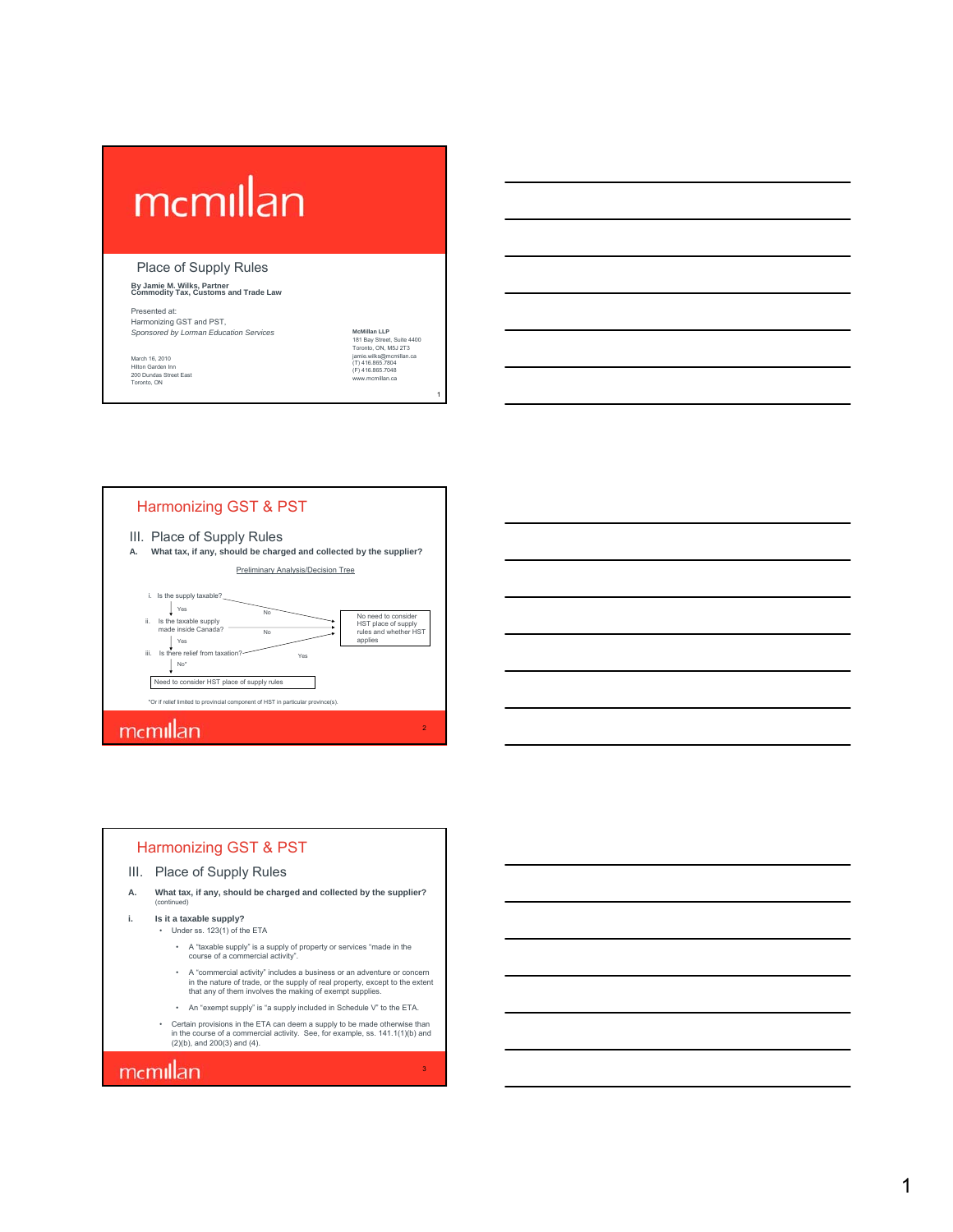# mcmillan

#### Place of Supply Rules

#### **By Jamie M. Wilks, Partner Commodity Tax, Customs and Trade Law**

Presented at: Harmonizing GST and PST, **Sponsored by Lorman Education Services MCMillan LLP** 

March 16, 2010 Hilton Garden Inn 200 Dundas Street East Toronto, ON 181 Bay Street, Suite 4400 Toronto, ON, M5J 2T3 jamie.wilks@mcmillan.ca (T) 416.865.7804 (F) 416.865.7048 www.mcmillan.ca

1

#### Harmonizing GST & PST



**A. What tax, if any, should be charged and collected by the supplier?** Preliminary Analysis/Decision Tree



#### Harmonizing GST & PST

- III. Place of Supply Rules
- **A. What tax, if any, should be charged and collected by the supplier?** (continued)
- **i. Is it a taxable supply?**
	- Under ss. 123(1) of the ETA
		- A "taxable supply" is a supply of property or services "made in the course of a commercial activity".
		- A "commercial activity" includes a business or an adventure or concern in the nature of trade, or the supply of real property, except to the extent that any of them involves the making of exempt supplies.
		- An "exempt supply" is "a supply included in Schedule V" to the ETA.
		- Certain provisions in the ETA can deem a supply to be made otherwise than in the course of a commercial activity. See, for example, ss. 141.1(1)(b) and (2)(b), and 200(3) and (4).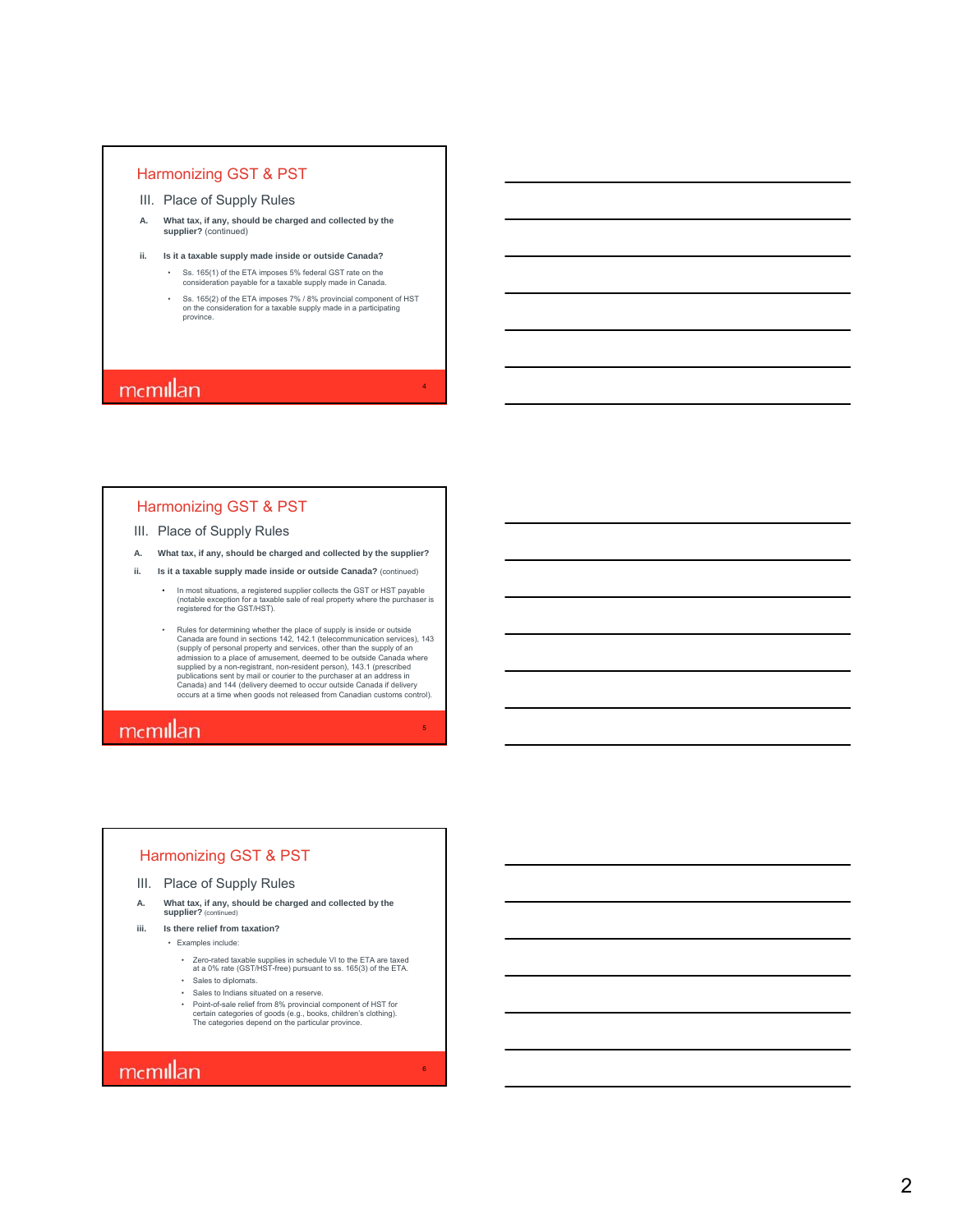- III. Place of Supply Rules
- **A. What tax, if any, should be charged and collected by the supplier?** (continued)
- **ii. Is it a taxable supply made inside or outside Canada?**

• Ss. 165(1) of the ETA imposes 5% federal GST rate on the consideration payable for a taxable supply made in Canada.

• Ss. 165(2) of the ETA imposes 7% / 8% provincial component of HST on the consideration for a taxable supply made in a participating province.

4

6

### mcmillan

#### Harmonizing GST & PST

#### III. Place of Supply Rules

- **A. What tax, if any, should be charged and collected by the supplier?**
- **ii. Is it a taxable supply made inside or outside Canada?** (continued)
	- In most situations, a registered supplier collects the GST or HST payable (notable exception for a taxable sale of real property where the purchaser is registered for the GST/HST).
	- Rules for determining whether the place of supply is inside or outside<br>Canada are found in sections 142, 142.1 (telecommunication services), 143<br>(supply of personal property and services, other than the supply of an<br>admi

### mcmillan

#### Harmonizing GST & PST

- III. Place of Supply Rules
- **A. What tax, if any, should be charged and collected by the supplier?** (cont
- **iii. Is there relief from taxation?**
	- Examples include:
		- Zero-rated taxable supplies in schedule VI to the ETA are taxed at a 0% rate (GST/HST-free) pursuant to ss. 165(3) of the ETA.
		- Sales to diplomats.
		- Sales to Indians situated on a reserve.
		- Point-of-sale relief from 8% provincial component of HST for certain categories of goods (e.g., books, children's clothing). The categories depend on the particular province.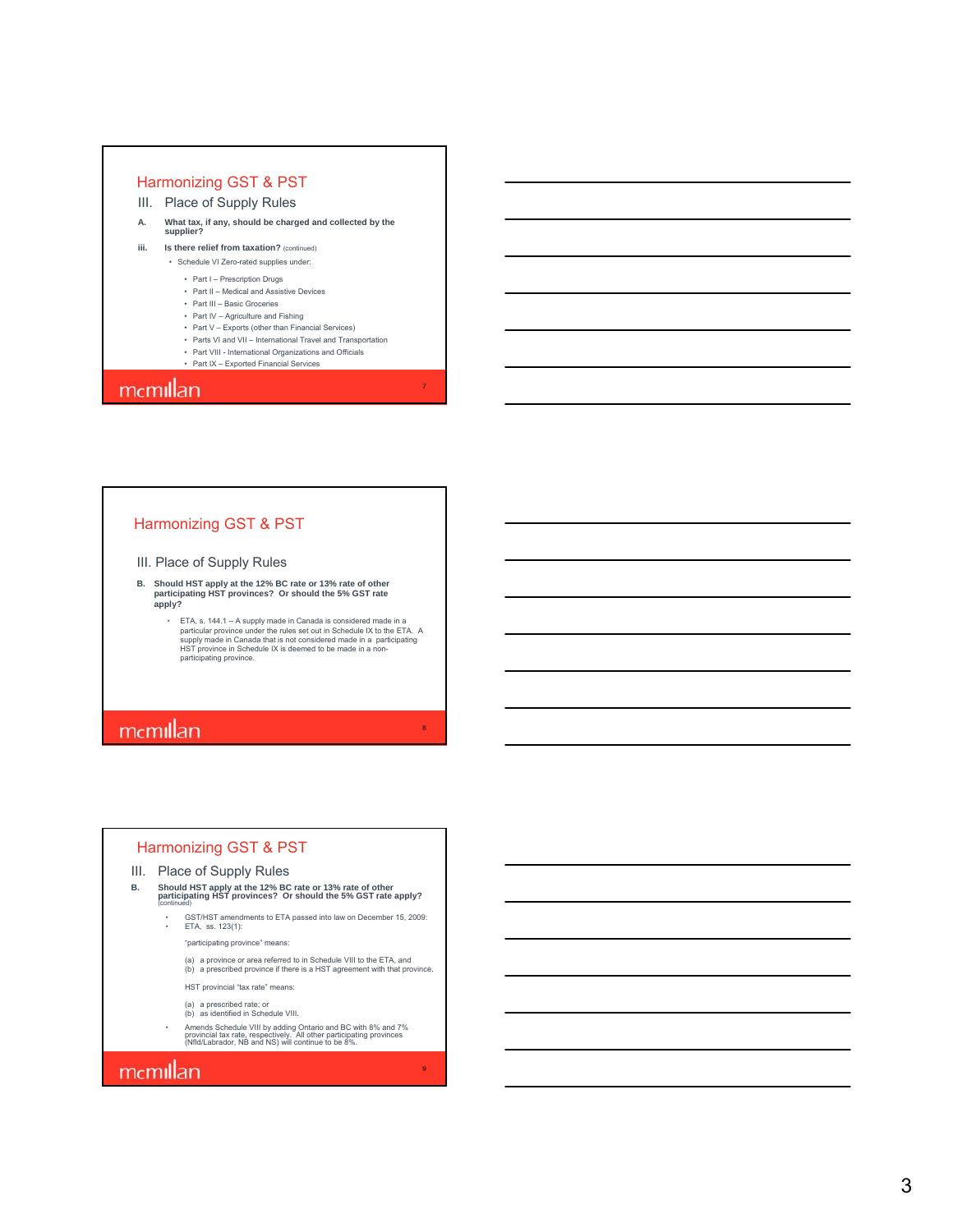- III. Place of Supply Rules
- **A. What tax, if any, should be charged and collected by the supplier?**
- **iii.** Is there relief from taxation? (continued) • Schedule VI Zero-rated supplies under:
	- Part I Prescription Drugs
	- Part II Medical and Assistive Devices
	- Part III Basic Groceries
	- Part IV Agriculture and Fishing
	- Part V Exports (other than Financial Services)
	- Parts VI and VII International Travel and Transportation

7

8

9

• Part VIII - International Organizations and Officials • Part IX – Exported Financial Services

### mcmillan

#### Harmonizing GST & PST

- III. Place of Supply Rules
- **B. Should HST apply at the 12% BC rate or 13% rate of other participating HST provinces? Or should the 5% GST rate apply?**
	- ETA, s. 144.1 A supply made in Canada is considered made in a particular province under the rules set out in Schedule IX to the ETA. A supply made in Canada that is not considered made in a participating HST province in Schedule IX is deemed to be made in a nonparticipating province.

# memillan

#### Harmonizing GST & PST

#### III. Place of Supply Rules

- **B. Should HST apply at the 12% BC rate or 13% rate of other participating HST provinces? Or should the 5% GST rate apply?** (continued)
	- GST/HST amendments to ETA passed into law on December 15, 2009: ETA, ss. 123(1):
		- "participating province" means:
		- (a) a province or area referred to in Schedule VIII to the ETA, and (b) a prescribed province if there is a HST agreement with that province.
		-
		- HST provincial "tax rate" means:
		- (a) a prescribed rate; or (b) as identified in Schedule VIII.
	- Amends Schedule VIII by adding Ontario and BC with 8% and 7% provincial tax rate, respectively. All other participating provinces (Nfld/Labrador, NB and NS) will continue to be 8%.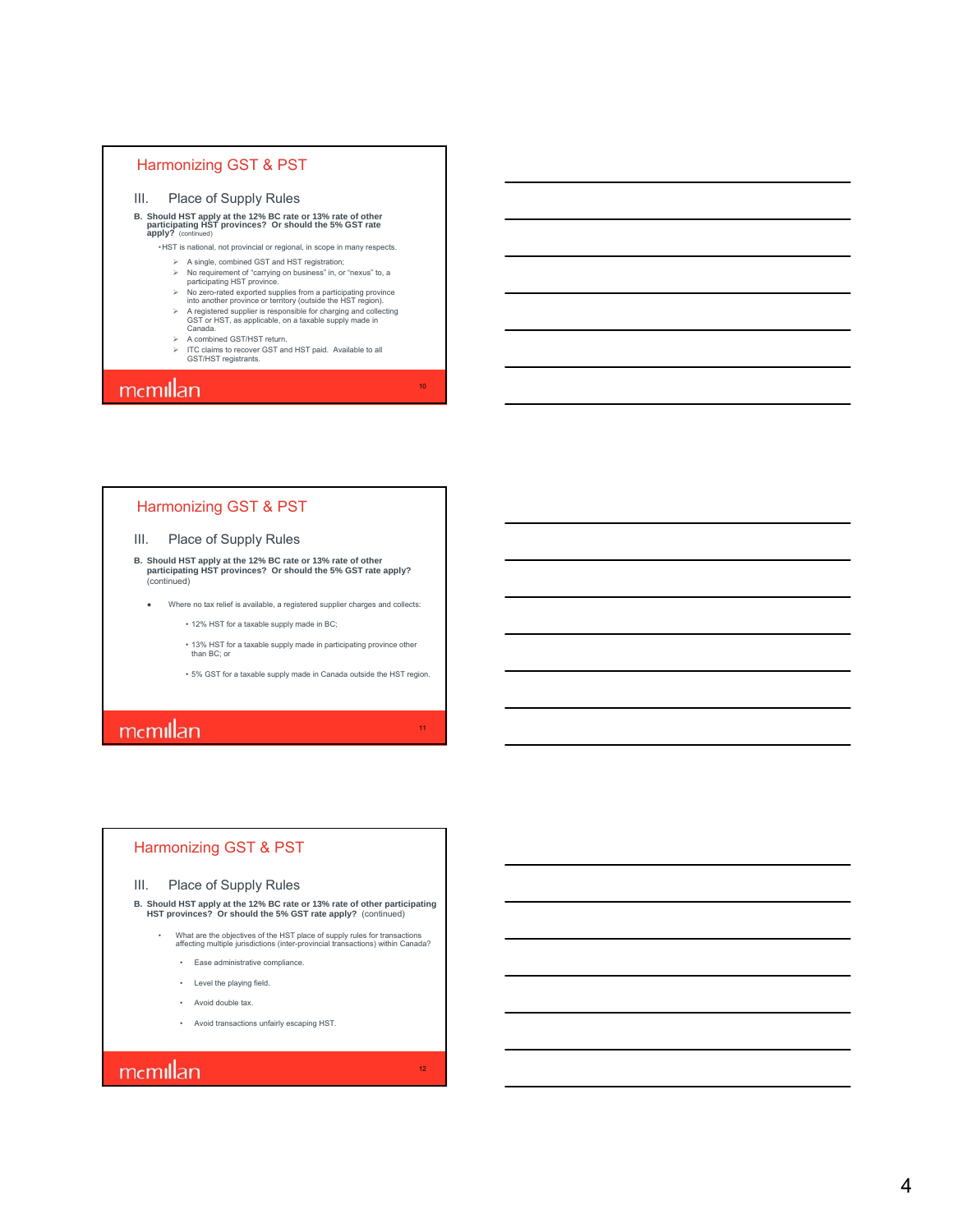- III. Place of Supply Rules
- **B. Should HST apply at the 12% BC rate or 13% rate of other participating HST provinces? Or should the 5% GST rate apply?** (continued)

•HST is national, not provincial or regional, in scope in many respects.

- A single, combined GST and HST registration; No requirement of "carrying on business" in, or "nexus" to, a participating HST province.
- 
- 
- involver and exported supplies from a participating province<br>into another province or territory (outside the HST region).<br>
Province in Archiver is responsible for charging and collecting<br>
GST or HST, as applicable, on a t
- 
- A combined GST/HST return. ITC claims to recover GST and HST paid. Available to all GST/HST registrants.

10

11

12

### mcmillan

#### Harmonizing GST & PST

#### III. Place of Supply Rules

- **B. Should HST apply at the 12% BC rate or 13% rate of other participating HST provinces? Or should the 5% GST rate apply?** (continued)
	- Where no tax relief is available, a registered supplier charges and collects:
		- 12% HST for a taxable supply made in BC;
		- 13% HST for a taxable supply made in participating province other than BC; or
		- 5% GST for a taxable supply made in Canada outside the HST region.

### mcmillan

#### Harmonizing GST & PST

#### III. Place of Supply Rules

**B. Should HST apply at the 12% BC rate or 13% rate of other participating HST provinces? Or should the 5% GST rate apply?** (continued)

- What are the objectives of the HST place of supply rules for transactions affecting multiple jurisdictions (inter-provincial transactions) within Canada?
	- Ease administrative compliance.
	- Level the playing field.
	- Avoid double tax.
	- Avoid transactions unfairly escaping HST.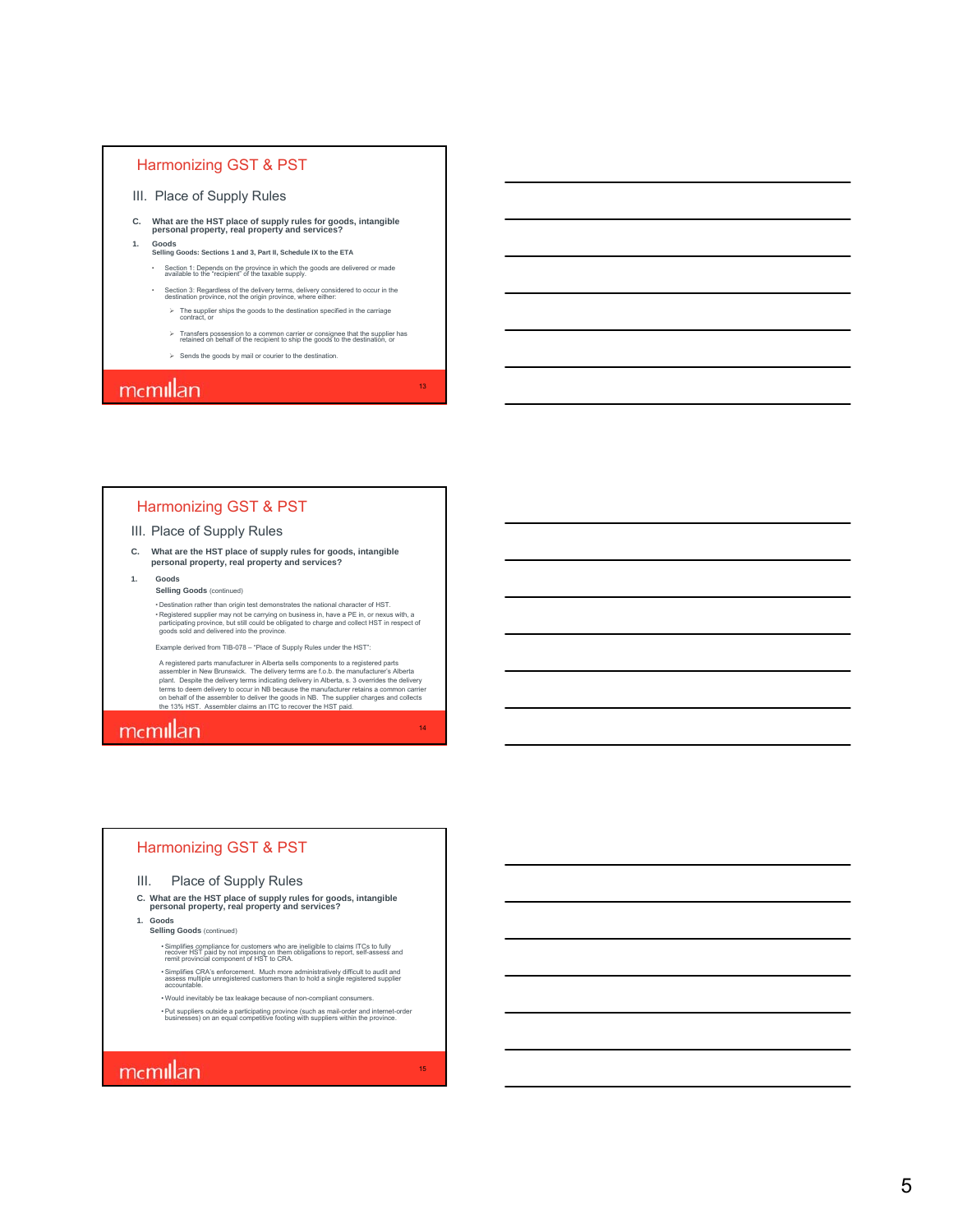- III. Place of Supply Rules
- **C. What are the HST place of supply rules for goods, intangible personal property, real property and services?**
- **1. Goods Selling Goods: Sections 1 and 3, Part II, Schedule IX to the ETA**
	- Section 1: Depends on the province in which the goods are delivered or made available to the "recipient" of the taxable supply.
	- Section 3: Regardless of the delivery terms, delivery considered to occur in the destination province, not the origin province, where either:
		- $\triangleright$  The supplier ships the goods to the destination specified in the carriage contract, or
		- $\triangleright$  Transfers possession to a common carrier or consignee that the supplier has retained on behalf of the recipient to ship the goods to the destination, or

13

14

15

 $\triangleright$  Sends the goods by mail or courier to the destination.

### mcmillan

#### Harmonizing GST & PST

#### III. Place of Supply Rules

**C. What are the HST place of supply rules for goods, intangible personal property, real property and services?**

#### **1. Goods Selling Goods** (continued)

• Destination rather than origin test demonstrates the national character of HST. • Registered supplier may not be carrying on business in, have a PE in, or nexus with, a<br>participating province, but still could be obligated to charge and collect HST in respect of<br>goods sold and delivered into the provin

Example derived from TIB-078 – "Place of Supply Rules under the HST":

A registered parts manufacturer in Alberta sells components to a registered parts assembler in New Brunswick. The delivery terms are f.o.b. the manufacturer's Alberta<br>plant. Despite the delivery terms indicating delivery in Alberta, s. 3 overrides the delivery<br>terms to deem delivery to occur in NB becau

### mcmillan

#### Harmonizing GST & PST

#### III. Place of Supply Rules

**C. What are the HST place of supply rules for goods, intangible personal property, real property and services?**

**1. Goods**

**Selling Goods** (continued)

• Simplifies compliance for customers who are ineligible to claims ITCs to fully recover HST paid by not imposing on them obligations to report, self-assess and remit provincial component of HST to CRA.

- Simplifies CRA's enforcement. Much more administratively difficult to audit and assess multiple unregistered customers than to hold a single registered supplier accountable.
- Would inevitably be tax leakage because of non-compliant consumers. • Put suppliers outside a participating province (such as mail-order and internet-order businesses) on an equal competitive footing with suppliers within the province.

### mcmillan

5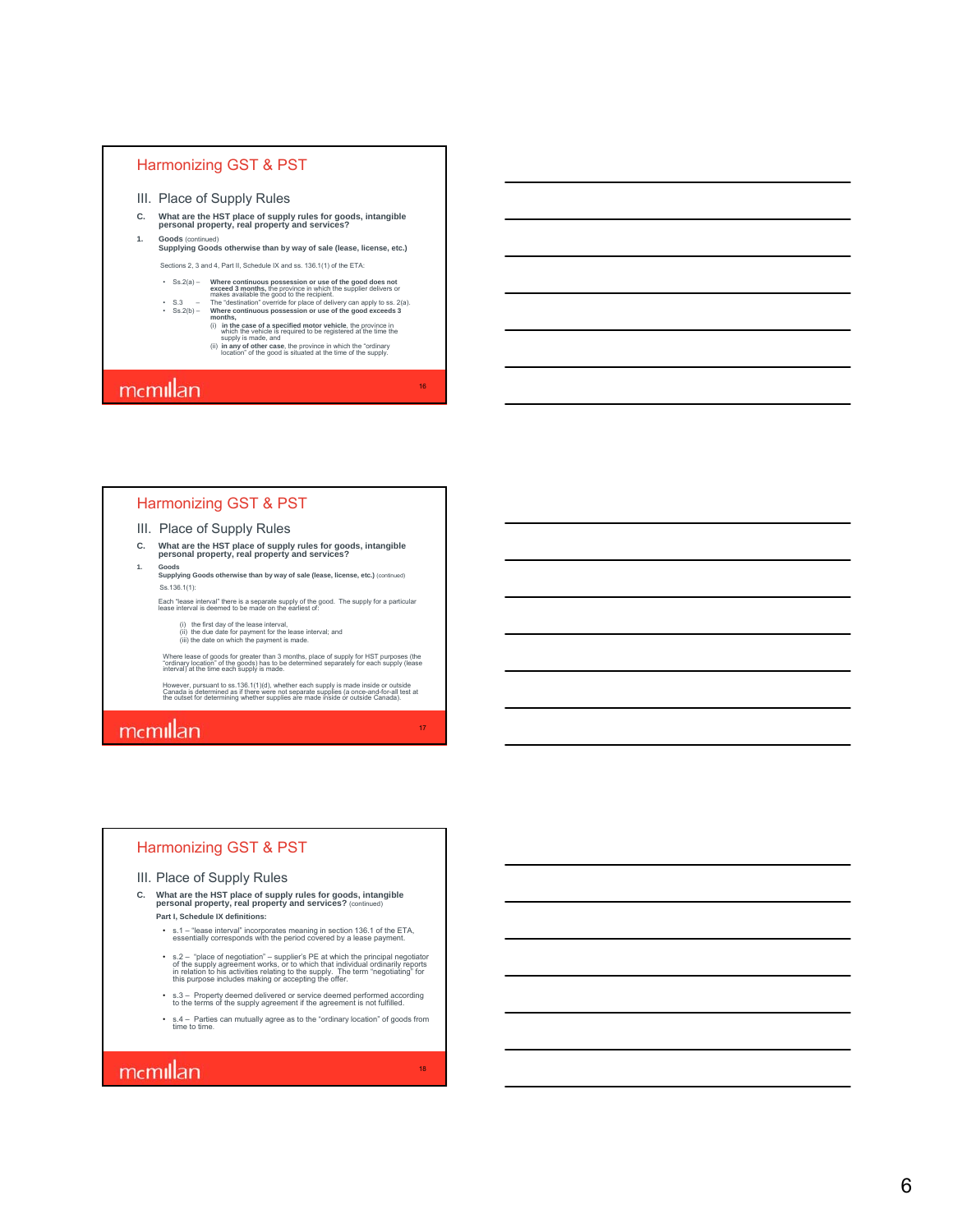- III. Place of Supply Rules
- **C. What are the HST place of supply rules for goods, intangible personal property, real property and services? 1. Goods** (continued)
	- **Supplying Goods otherwise than by way of sale (lease, license, etc.)**

Sections 2, 3 and 4, Part II, Schedule IX and ss. 136.1(1) of the ETA:

- Ss.  $2(a)$  Where continuous possession or use of the good does not<br>exceed 3 months, the province in which the supplier delivers or<br>makes available the good to the recipient.<br>The "destination" override for place of delive
	- (i) **in the case of a specified motor vehicle**, the province in which the vehicle is required to be registered at the time the supply is made, and
		- (ii) **in any of other case**, the province in which the "ordinary location" of the good is situated at the time of the supply.

16

17

18

### mcmillan

#### Harmonizing GST & PST

#### III. Place of Supply Rules

- **C. What are the HST place of supply rules for goods, intangible personal property, real property and services?**
- **1. Goods Supplying Goods otherwise than by way of sale (lease, license, etc.)** (continued) Ss.136.1(1):

Each "lease interval" there is a separate supply of the good. The supply for a particular lease interval is deemed to be made on the earliest of:

(i) the first day of the lease interval, (ii) the due date for payment for the lease interval; and (iii) the date on which the payment is made.

Where lease of goods for greater than 3 months, place of supply for HST purposes (the<br>"ordinary location" of the goods) has to be determined separately for each supply (lease<br>interval) at the time each supply is made.

However, pursuant to ss.136.1(1)(d), whether each supply is made inside or outside<br>Canada is determined as if there were not separate supplies (a once-and-for-all test at<br>the outset for determining whether supplies are mad

### mcmillan

#### Harmonizing GST & PST

#### III. Place of Supply Rules

- **C. What are the HST place of supply rules for goods, intangible personal property, real property and services?** (continued) **Part I, Schedule IX definitions:**
	- s.1 "lease interval" incorporates meaning in section 136.1 of the ETA, essentially corresponds with the period covered by a lease payment.
	- s.2 "place of negotiation" supplier's PE at which the principal negotiator<br>of the supply agreement works, or to which that individual ordinarily reports<br>in relation to his activities relating to the supply. The term
	-
	- s.3 Property deemed delivered or service deemed performed according to the terms of the supply agreement if the agreement is not fulfilled.
	- s.4 Parties can mutually agree as to the "ordinary location" of goods from time to time .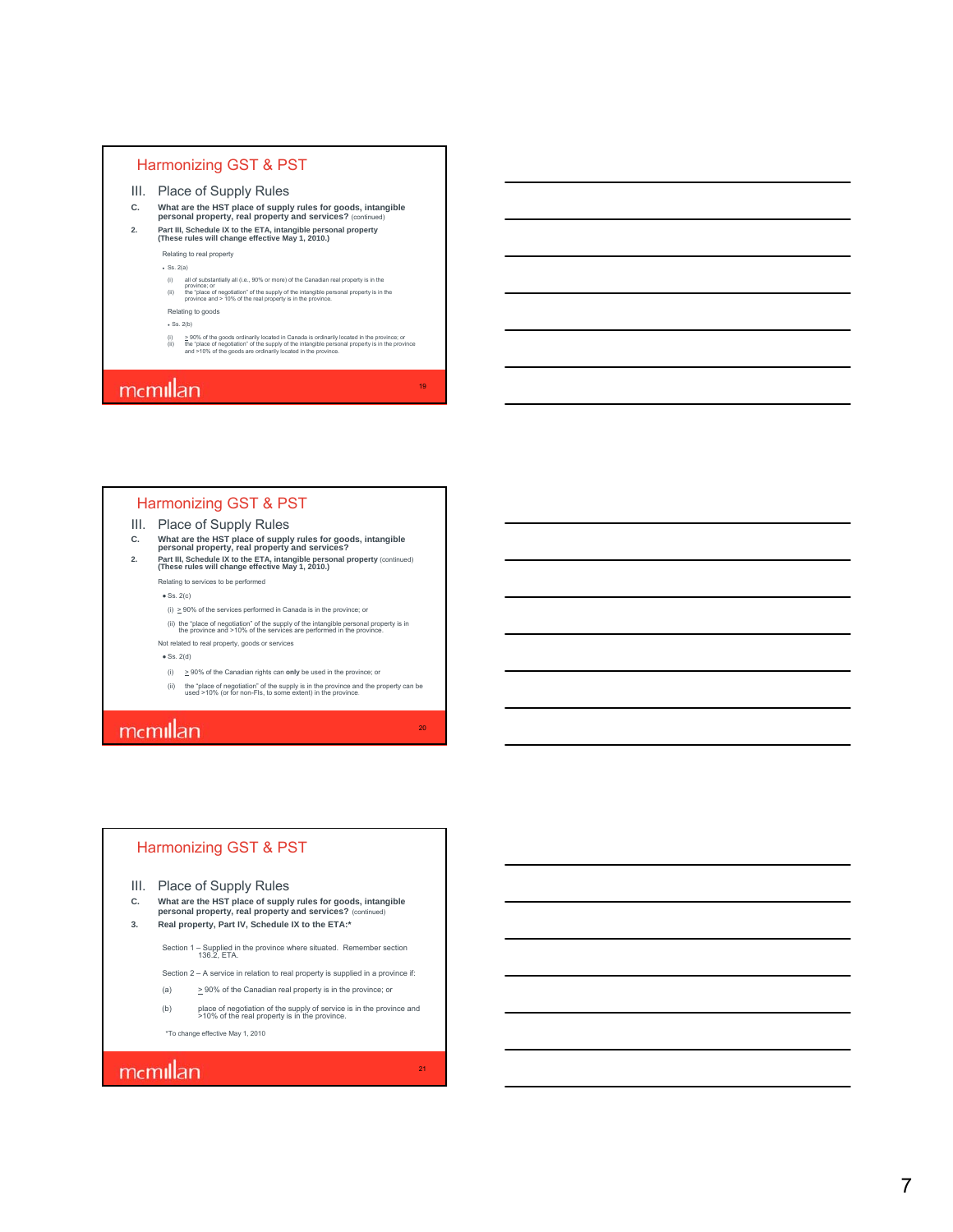- III. Place of Supply Rules
- **C. What are the HST place of supply rules for goods, intangible personal property, real property and services?** (continued)
- **2. Part III, Schedule IX to the ETA, intangible personal property (These rules will change effective May 1, 2010.)** Relating to real property

 $\cdot$  Ss. 2(a)

- 
- (i) all of substantially all (i.e., 90% or more) of the Canadian real property is in the<br>province; or<br>(ii) the "place of negotiation" of the supply of the intangible personal property is in the<br>province and > 10% of the re
- Relating to goods

 $\cdot$  Ss. 2(b)

(i) > 90% of the goods ordinarily located in Canada is ordinarily located in the province; or<br>(ii) the "place of negotiation" of the supply of the intangible personal property is in the province<br>and >10% of the goods are

19

20

21

### mcmillan

#### Harmonizing GST & PST

# III. Place of Supply Rules<br>c. What are the HST place of supply

- 
- C. What are the HST place of supply rules for goods, intangible<br>personal property, real property and services?<br>2. Part III, Schedule IX to the ETA, intangible personal property (continued)<br>(These rules will change effectiv

Relating to services to be performed

 $\bullet$  Ss. 2(c)

- (i)  $\geq$  90% of the services performed in Canada is in the province; or
- (ii) the "place of negotiation" of the supply of the intangible personal property is in the province and >10% of the services are performed in the province.

Not related to real property, goods or services

 $\bullet$  Ss. 2(d)

- (i) > 90% of the Canadian rights can **only** be used in the province; or
- (ii) the "place of negotiation" of the supply is in the province and the property can be used >10% (or for non-FIs, to some extent) in the province.

### mcmillan

#### Harmonizing GST & PST

III. Place of Supply Rules

- **C. What are the HST place of supply rules for goods, intangible personal property, real property and services?** (continued)
- **3. Real property, Part IV, Schedule IX to the ETA:\***

Section 1 – Supplied in the province where situated. Remember section 136.2, ETA.

- Section 2 A service in relation to real property is supplied in a province if:
- (a)  $\geq 90\%$  of the Canadian real property is in the province; or
- (b) place of negotiation of the supply of service is in the province and >10% of the real property is in the province.

\*To change effective May 1, 2010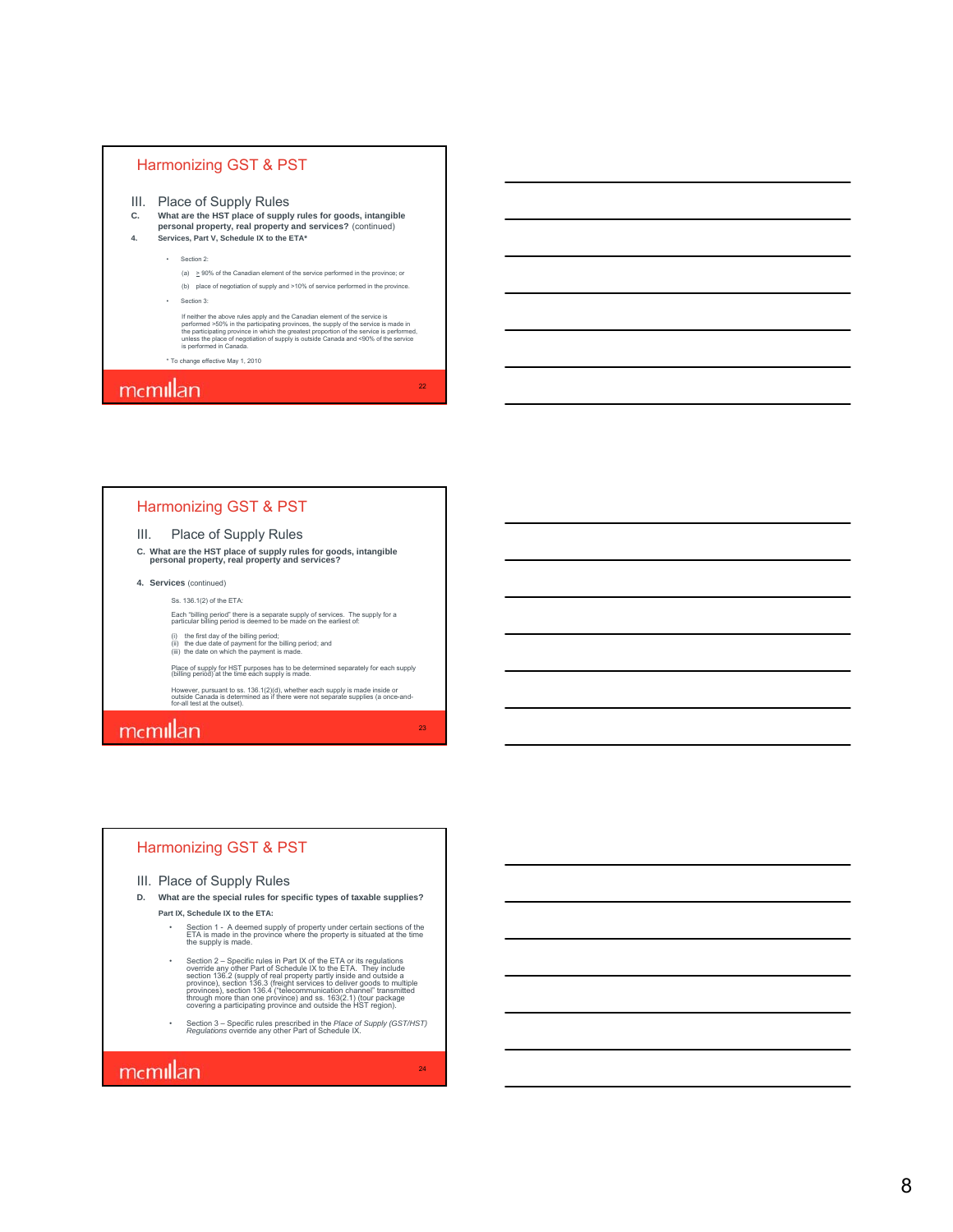- III. Place of Supply Rules
- **C. What are the HST place of supply rules for goods, intangible personal property, real property and services?** (continued)
- **4. Services, Part V, Schedule IX to the ETA\***
	- Section 2:
	- (a)  $\geq$  90% of the Canadian element of the service performed in the province; or (b) place of negotiation of supply and >10% of service performed in the province. • Section 3:
	-
	- If neither the above rules apply and the Canadian element of the service is made in<br>performed >50% in the participating provinces, the supply of the service is made in<br>the participating province in which the greatest propo

22

23

24

\* To change effective May 1, 2010

### mcmillan

#### Harmonizing GST & PST

#### III. Place of Supply Rules

- **C. What are the HST place of supply rules for goods, intangible personal property, real property and services?**
- **4. Services** (continued)
	- Ss. 136.1(2) of the ETA:
	- Each "billing period" there is a separate supply of services. The supply for a particular billing period is deemed to be made on the earliest of:
	- (i) the first day of the billing period; (ii) the due date of payment for the billing period; and (iii) the date on which the payment is made.
	-
	- Place of supply for HST purposes has to be determined separately for each supply (billing period) at the time each supply is made.
	- However, pursuant to ss. 136.1(2)(d), whether each supply is made inside or outside Canada is determined as if there were not separate supplies (a once-and-for-all test at the outset).

### mcmillan

#### Harmonizing GST & PST

#### III. Place of Supply Rules

- **D. What are the special rules for specific types of taxable supplies?**
	- **Part IX, Schedule IX to the ETA:** • Section 1 - A deemed supply of property under certain sections of the ETA is made in the province where the property is situated at the time the supply is made.
		- Section 2 Specific rules in Part IX of the ETA or its regulations override any other Part of Schedule IX to the ETA. They include section 136.2 (supply of real property partly inside and outside a province), section 13
		- Section 3 Specific rules prescribed in the *Place of Supply (GST/HST) Regulations* override any other Part of Schedule IX.

### mcmillan

8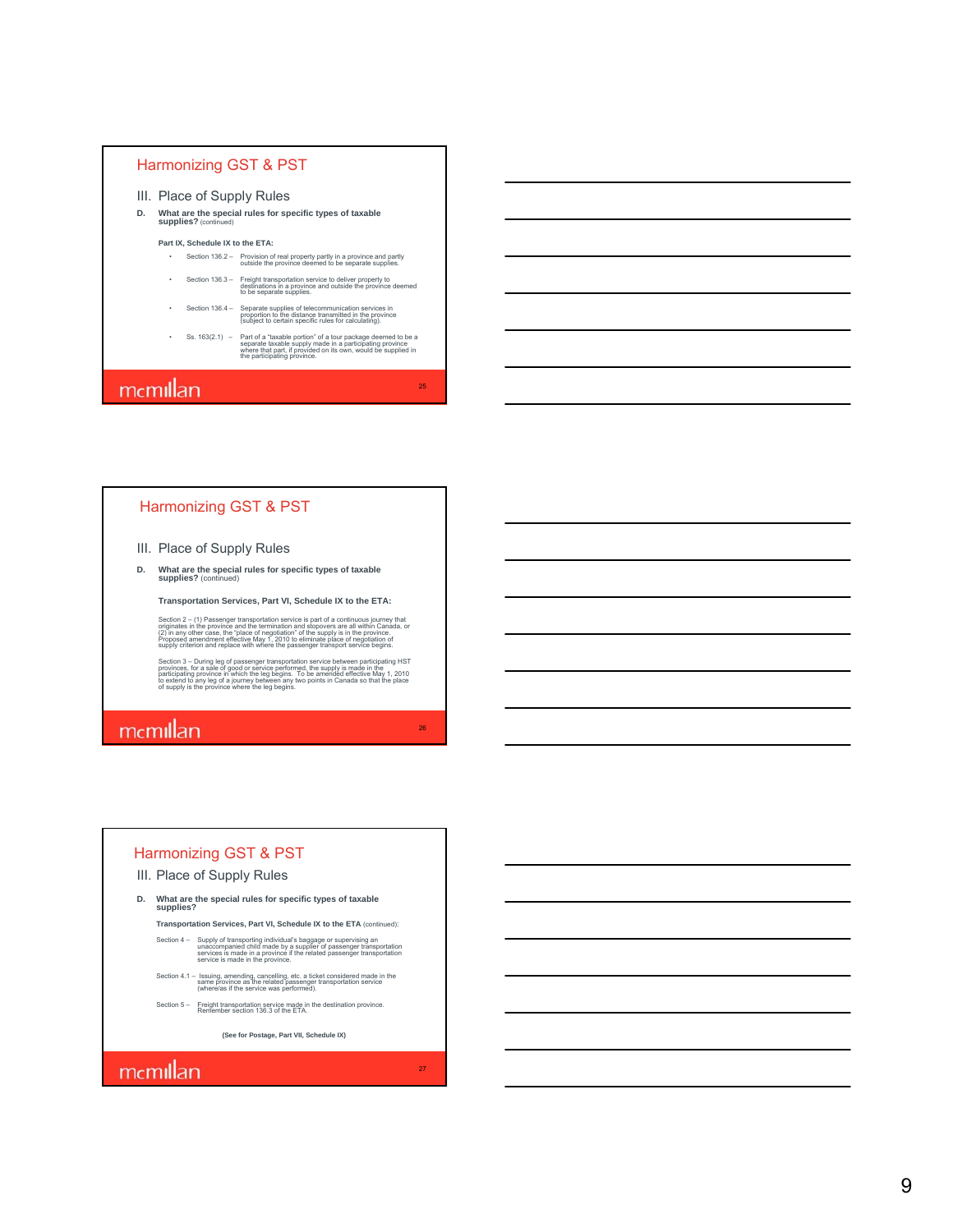#### III. Place of Supply Rules

**D. What are the special rules for specific types of taxable supplies?** (continued)

#### **Part IX, Schedule IX to the ETA:**

- Section 136.2 Provision of real property partly in a province and partly outside the province deemed to be separate supplies.
- Section 136.3 Freight transportation service to deliver property to destinations in a province and outside the province deemed to be separate supplies.
- Section 136.4 Separate supplies of telecommunication services in proportion to the distance transmitted in the province (subject to certain specific rules for calculating).
- Ss. 163(2.1) Part of a "taxable portion" of a tour package deemed to be a<br>separate taxable supply made in a participating province<br>where that participating provinced on its own, would be supplied in<br>the participating pro

25

26

27

### mcmillan

#### Harmonizing GST & PST

#### III. Place of Supply Rules

**D. What are the special rules for specific types of taxable supplies?** (continued)

**Transportation Services, Part VI, Schedule IX to the ETA:** 

Section 2 – (1) Passenger transportation service is part of a continuous journey that<br>originates in the province and the termination and stopovers are all within Canada, or<br>(2) in any other case, the "place of negotiation"

Section 3 – During leg of passenger transportation service between participating HST<br>provinces, for a sale of good or service performed, the supply is made in the<br>participating province in which the leg begins. To be amend

### mcmillan

#### Harmonizing GST & PST

- III. Place of Supply Rules
- **D. What are the special rules for specific types of taxable supplies?**

**Transportation Services, Part VI, Schedule IX to the ETA** (continued):

Section 4 - Supply of transporting individual's baggage or supervising an<br>unaccompanied child made by a supplier of passenger transportation<br>services is made in the province if the related passenger transportation<br>service

- Section 4.1 Issuing, amending, cancelling, etc. a ticket considered made in the<br>same province as the related passenger transportation service<br>(where/as if the service was performed).
- Section 5 Freight transportation service made in the destination province. Remember section 136.3 of the ETA.

**(See for Postage, Part VII, Schedule IX)**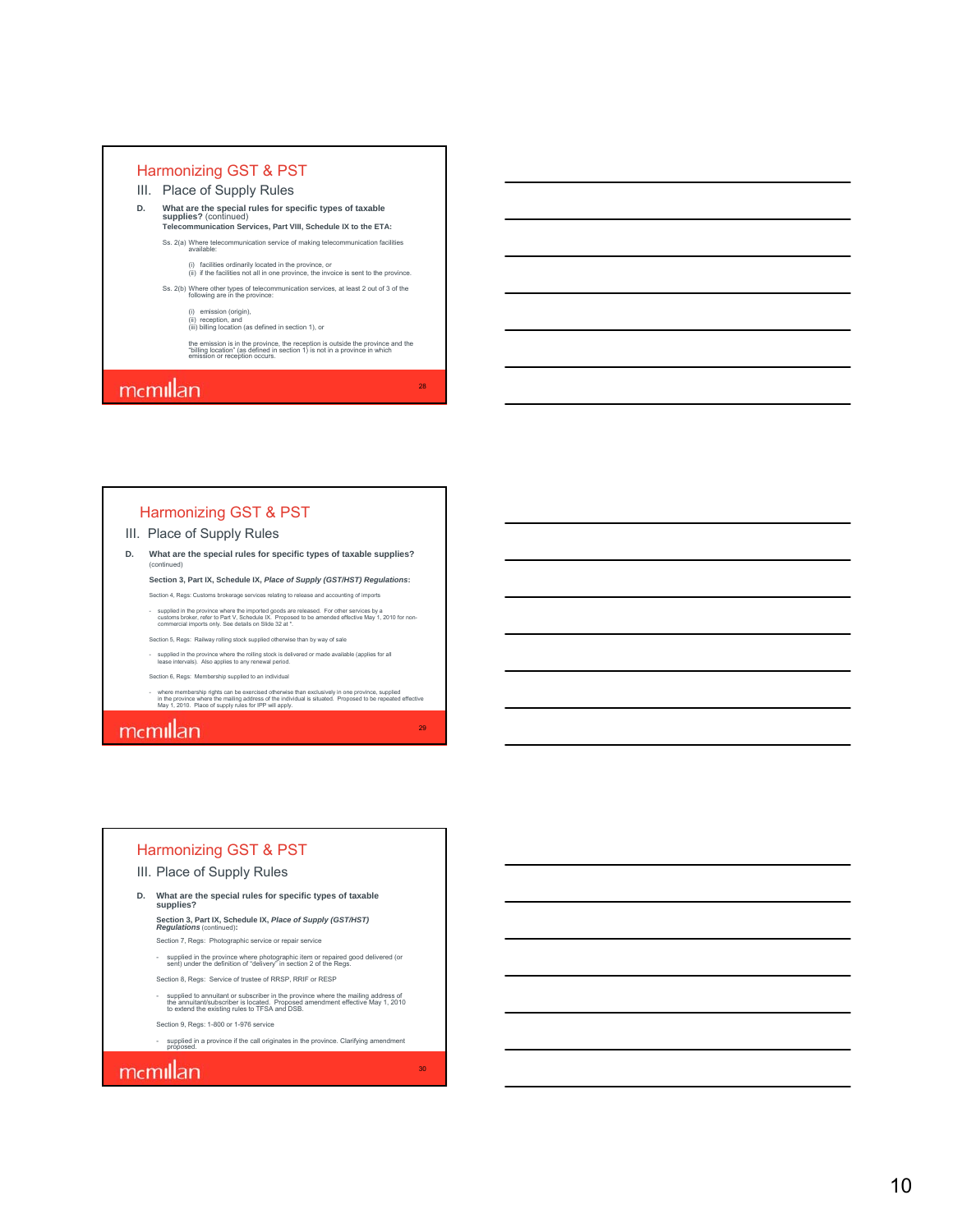- III. Place of Supply Rules
- **D. What are the special rules for specific types of taxable supplies?** (continued) **Telecommunication Services, Part VIII, Schedule IX to the ETA:**

Ss. 2(a) Where telecommunication service of making telecommunication facilities available:

(i) facilities ordinarily located in the province, or (ii) if the facilities not all in one province, the invoice is sent to the province.

- Ss. 2(b) Where other types of telecommunication services, at least 2 out of 3 of the following are in the province:
	- (i) emission (origin), (ii) reception, and (iii) billing location (as defined in section 1), or

the emission is in the province, the reception is outside the province and the "billing location" (as defined in section 1) is not in a province in which emission or reception occurs.

28

29

30

### mcmillan

#### Harmonizing GST & PST

#### III. Place of Supply Rules

**D. What are the special rules for specific types of taxable supplies?** (continued)

**Section 3, Part IX, Schedule IX,** *Place of Supply (GST/HST) Regulations***:**  Section 4, Regs: Customs brokerage services relating to release and accounting of imports

supplied in the province where the imported goods are released. For other services by a<br>customs broker, refer to Part V, Schedule IX. Proposed to be amended effective May 1, 2010 for non-<br>commercial imports only. See detai

Section 5, Regs: Railway rolling stock supplied otherwise than by way of sale

- supplied in the province where the rolling stock is delivered or made available (applies for all lease intervals). Also applies to any renewal period.

Section 6, Regs: Membership supplied to an individual

- where membership rights can be exercised otherwise than exclusively in one province, supplied<br>in the province where the mailing address of the individual is situated. Proposed to be repeated effective<br>May 1, 2010. Place

### mcmillan

#### Harmonizing GST & PST

#### III. Place of Supply Rules

**D. What are the special rules for specific types of taxable supplies?**

**Section 3, Part IX, Schedule IX,** *Place of Supply (GST/HST) Regulations* (continued)**:**

Section 7, Regs: Photographic service or repair service

- supplied in the province where photographic item or repaired good delivered (or sent) under the definition of "delivery" in section 2 of the Regs.
- Section 8, Regs: Service of trustee of RRSP, RRIF or RESP
- supplied to annuitant or subscriber in the province where the mailing address of<br>the annuitant/subscriber is located. Proposed amendment effective May 1, 2010<br>to extend the existing rules to TFSA and DSB.

Section 9, Regs: 1-800 or 1-976 service

- supplied in a province if the call originates in the province. Clarifying amendment proposed.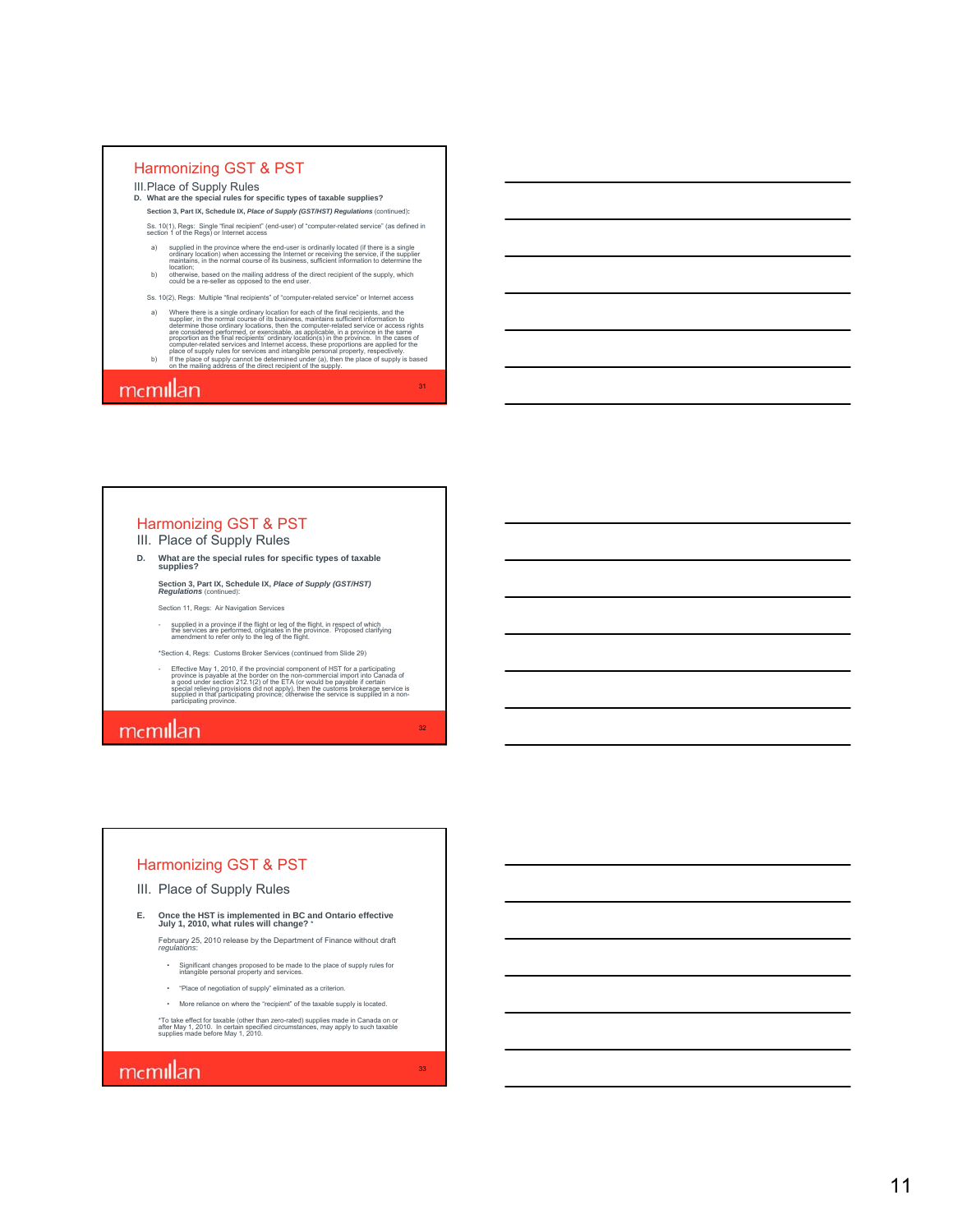- III.Place of Supply Rules
- **D. What are the special rules for specific types of taxable supplies?**
	- **Section 3, Part IX, Schedule IX,** *Place of Supply (GST/HST) Regulations* (continued) **:** Ss. 10(1), Regs: Single "final recipient" (end-user) of "computer-related service" (as defined in section 1 of the Regs) or Internet access
	- a) supplied in the province where the end-user is ordinarily located (if there is a single<br>ordinary location) when accessing the Internet or receiving the service, if the supplier<br>maintains, in the normal course of its bus
	- b) otherwise, based on the mailing address of the direct recipient of the supply, which could be a re-seller as opposed to the end user.
	- Ss. 10(2), Regs: Multiple "final recipients" of "computer-related service" or Internet access
	- a) Where there is as single ordinary location for each of the final recipients, and the<br>supplier, in the normal course of its business, maintains sufficient information to<br>determine those ordinary locations, then the compu
	-

31

32

33

### mcmillan

#### Harmonizing GST & PST III. Place of Supply Rules

- **D. What are the special rules for specific types of taxable supplies?**
	- **Section 3, Part IX, Schedule IX,** *Place of Supply (GST/HST) Regulations* (continued):

Section 11, Regs: Air Navigation Services

- supplied in a province if the flight or leg of the flight, in respect of which<br>the services are performed, originates in the province. Proposed clarifying<br>amendment to refer only to the leg of the flight.

\*Section 4, Regs: Customs Broker Services (continued from Slide 29)

Fiffective May 1, 2010, if the provincial component of HST for a participating<br>province is payable at the border on the non-commercial import into Canada of<br>a good under section 212.1(2) of the ETA (or would be payable if

### mcmillan

#### Harmonizing GST & PST

#### III. Place of Supply Rules

**E. Once the HST is implemented in BC and Ontario effective July 1, 2010, what rules will change?** \*

February 25, 2010 release by the Department of Finance without draft *regulations* :

- Significant changes proposed to be made to the place of supply rules for intangible personal property and services.
- "Place of negotiation of supply" eliminated as a criterion.
- More reliance on where the "recipient" of the taxable supply is located.
- \*To take effect for taxable (other than zero-rated) supplies made in Canada on or after May 1, 2010. In certain specified circumstances, may apply to such taxable supplies made before May 1, 2010.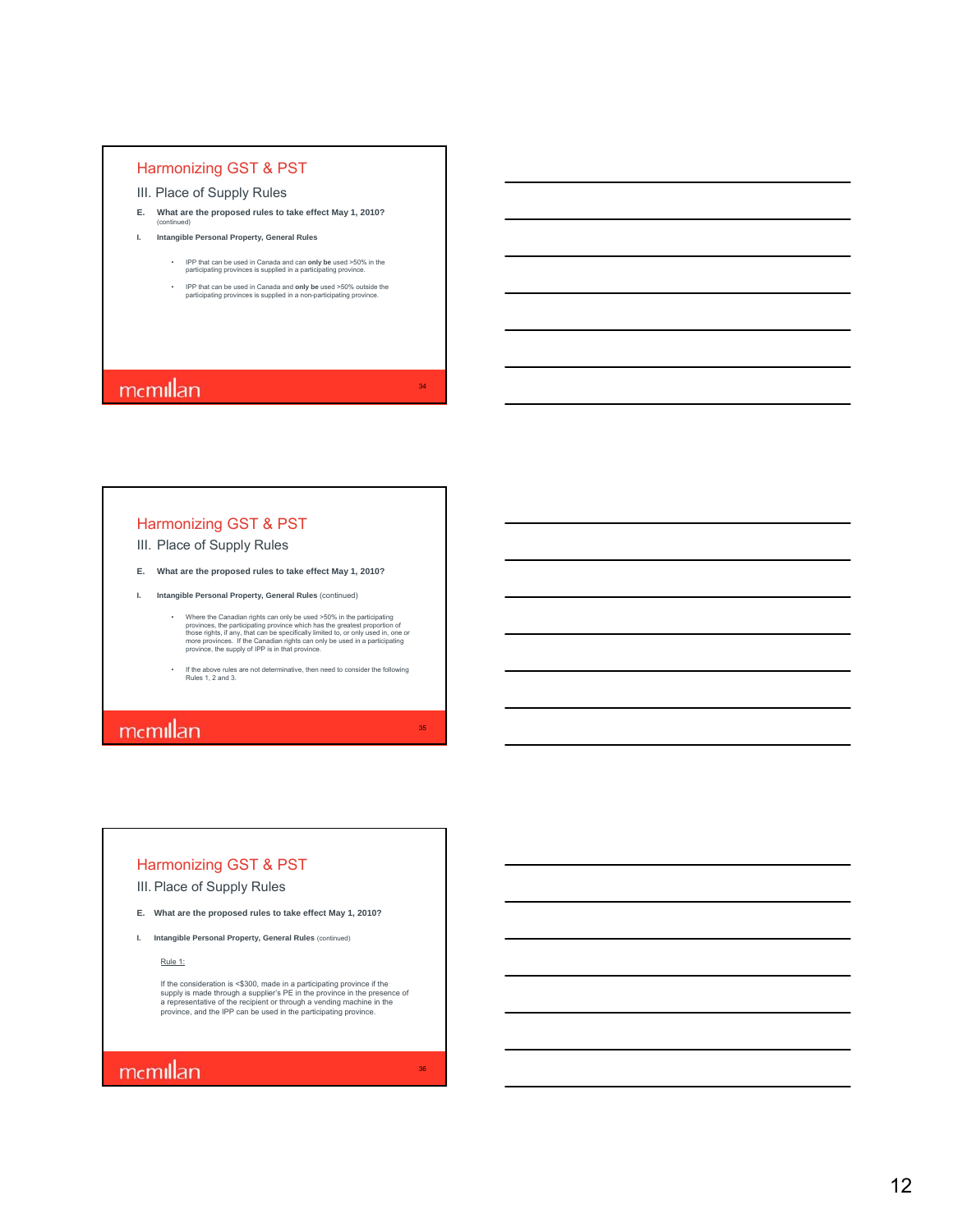- III. Place of Supply Rules
- **E. What are the proposed rules to take effect May 1, 2010?** (continued)
- **I. Intangible Personal Property, General Rules**
	- IPP that can be used in Canada and can **only be** used >50% in the participating provinces is supplied in a participating province.
	- IPP that can be used in Canada and **only be** used >50% outside the participating provinces is supplied in a non-participating province.

34

35

36

### mcmillan

#### Harmonizing GST & PST

- III. Place of Supply Rules
- **E. What are the proposed rules to take effect May 1, 2010?**
- **I. Intangible Personal Property, General Rules** (continued)
	- Where the Canadian rights can only be used >50% in the participating provinces, the participating province which has the greatest proportion of those rights, if any, that can be specifically limited to, or only used in,
	- If the above rules are not determinative, then need to consider the following Rules 1, 2 and 3.

# mcmillan

#### Harmonizing GST & PST

III. Place of Supply Rules

- **E. What are the proposed rules to take effect May 1, 2010?**
- **I.** Intangible Personal Property, General Rules (continued)

Rule 1:

If the consideration is <\$300, made in a participating province if the<br>supply is made through a supplier's PE in the province in the presence of<br>a representative of the recipient or through a vending machine in the<br>provinc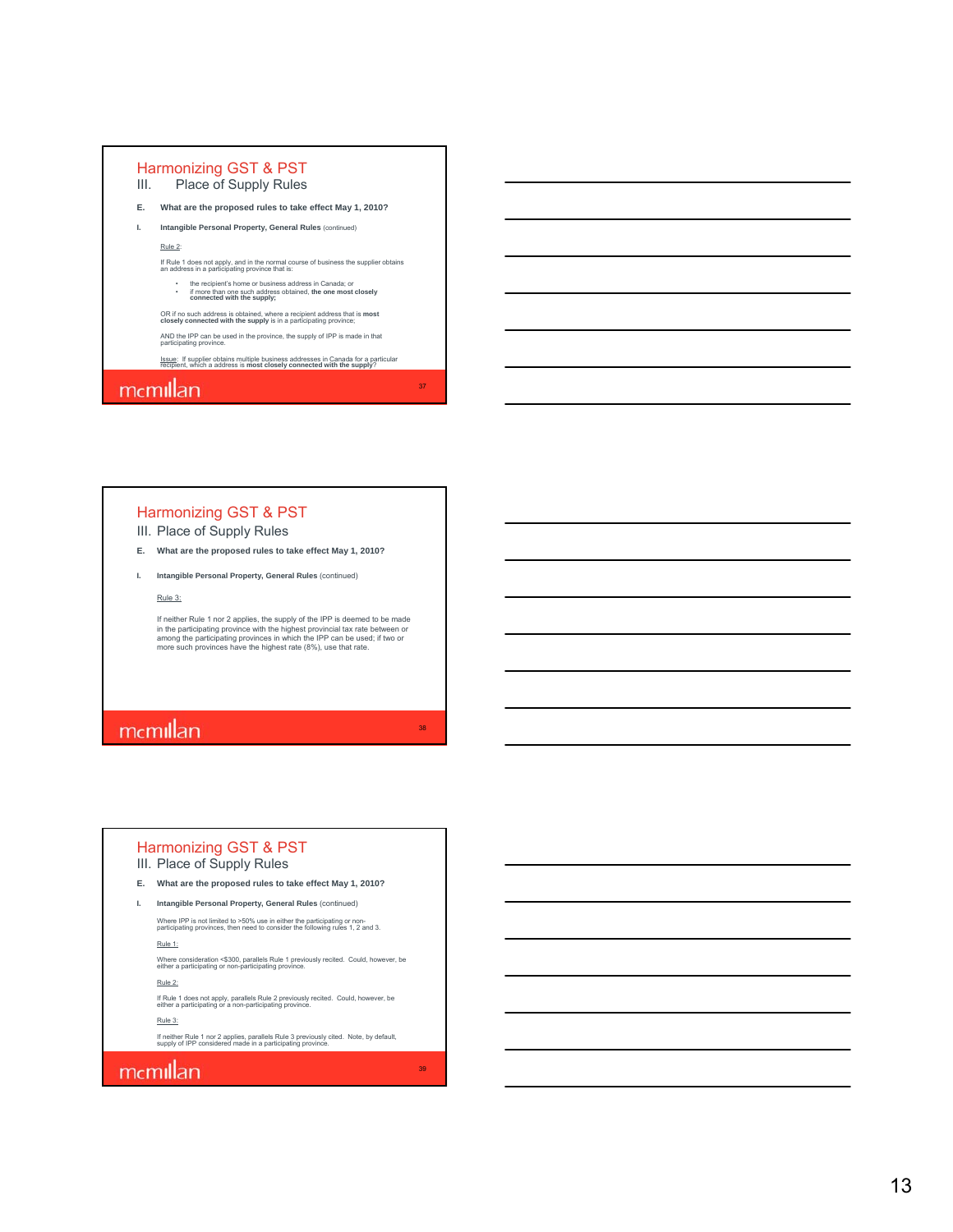

#### III. Place of Supply Rules

**E. What are the proposed rules to take effect May 1, 2010?**

**I. Intangible Personal Property, General Rules** (continued)

Rule 3:

If neither Rule 1 nor 2 applies, the supply of the IPP is deemed to be made<br>in the participating province with the highest provincial tax rate between or<br>among the participating provinces in which the IPP can be used; if t more such provinces have the highest rate (8%), use that rate.

37

38

39

# mcmillan

#### III. Place of Supply Rules Harmonizing GST & PST

**E. What are the proposed rules to take effect May 1, 2010?**

**I. Intangible Personal Property, General Rules** (continued)

Where IPP is not limited to >50% use in either the participating or non-participating provinces, then need to consider the following rules 1, 2 and 3. Rule 1:

Where consideration <\$300, parallels Rule 1 previously recited. Could, however, be either a participating or non-participating province.

Rule 2:

If Rule 1 does not apply, parallels Rule 2 previously recited. Could, however, be either a participating or a non-participating province.

Rule 3:

If neither Rule 1 nor 2 applies, parallels Rule 3 previously cited. Note, by default, supply of IPP considered made in a participating province.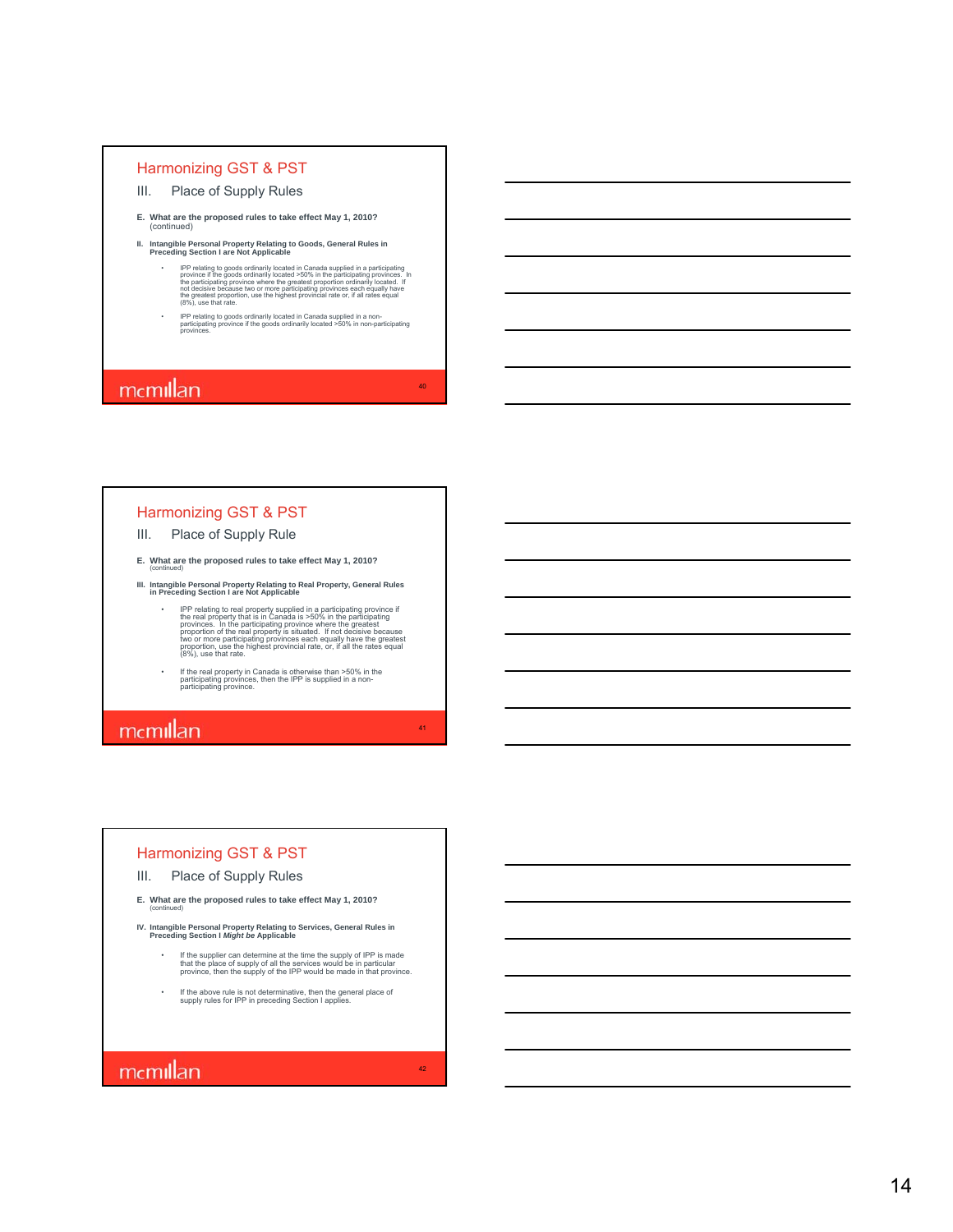#### III. Place of Supply Rules

- **E. What are the proposed rules to take effect May 1, 2010?**  (continued)
- **II. Intangible Personal Property Relating to Goods, General Rules in Preceding Section I are Not Applicable**
	- PP relating to goods ordinarily located in Canada supplied in a participating<br>province if the goods ordinarily located >50% in the participating provinces. In<br>the participating provinces where the greatest proportion ordin
	- IPP relating to goods ordinarily located in Canada supplied in a non-participating province if the goods ordinarily located >50% in non-participating provinces.

40

41

42

### mcmillan

#### Harmonizing GST & PST

#### III. Place of Supply Rule

- **E.** What are the proposed rules to take effect May 1, 2010?
- **III. Intangible Personal Property Relating to Real Property, General Rules in Preceding Section I are Not Applicable**
	- IP relating to real property supplied in a participating province if the real property that is in Canada is  $>50\%$  in the participating provinces. In the participating province where the greatest proportion of the real
	- If the real property in Canada is otherwise than >50% in the participating provinces, then the IPP is supplied in a non-participating province.

### mcmillan

#### Harmonizing GST & PST

- III. Place of Supply Rules
- **E. What are the proposed rules to take effect May 1, 2010?** (continued)
- **IV.** Intangible Personal Property Relating to Services, General Rules in Preceding Section I *Might be* Applicable
	- If the supplier can determine at the time the supply of IPP is made that the place of supply of all the services would be in particular province, then the supply of the IPP would be made in that province.
	- If the above rule is not determinative, then the general place of supply rules for IPP in preceding Section I applies.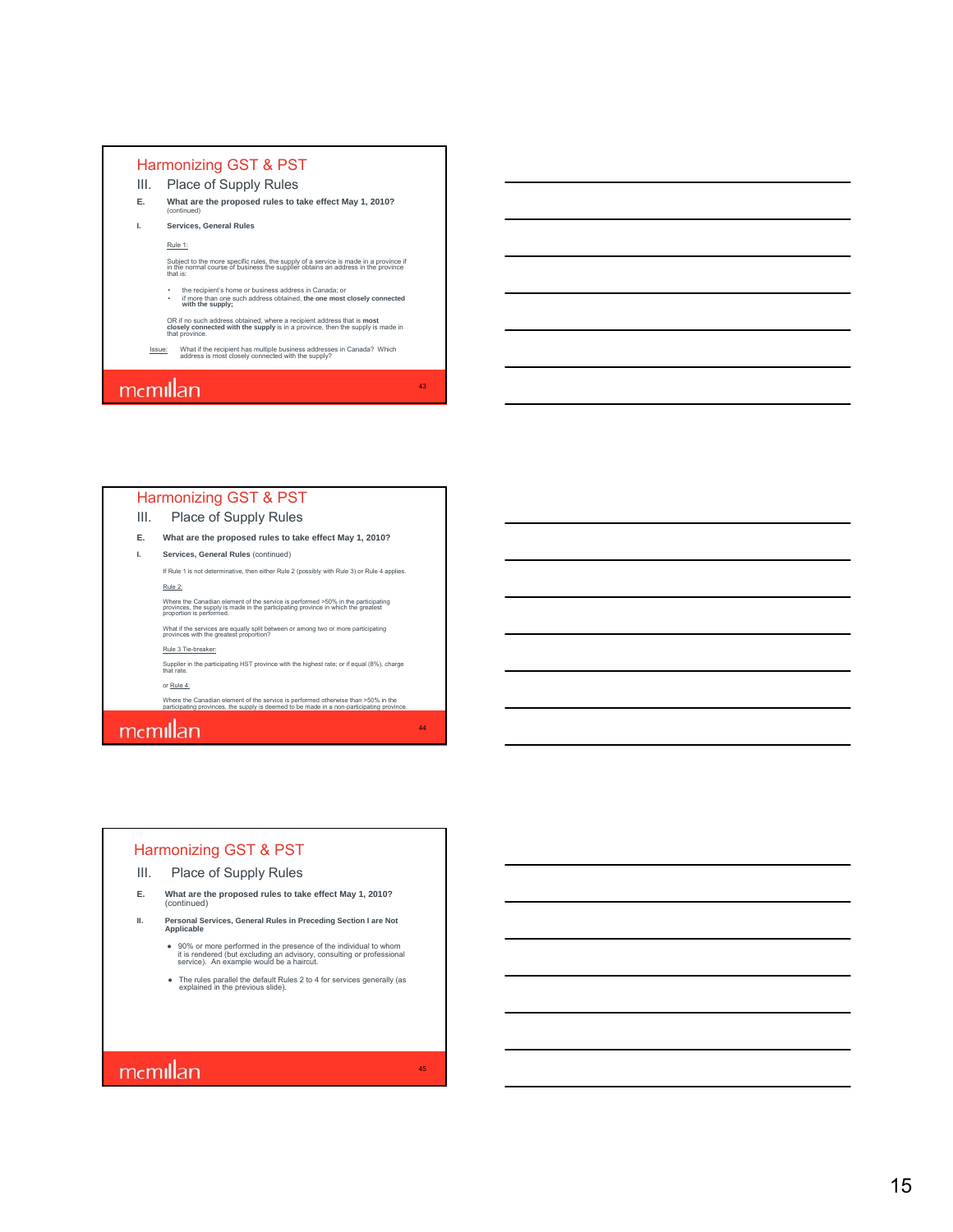- III. Place of Supply Rules
- **E. What are the proposed rules to take effect May 1, 2010?** (continued)
- **I. Services, General Rules**

Rule 1:

Subject to the more specific rules, the supply of a service is made in a province if in the normal course of business the supplier obtains an address in the province that is:

• the recipient's home or business address in Canada; or • if more than one such address obtained, **the one most closely connected with the supply;**

OR if no such address obtained, where a recipient address that is **most closely connected with the supply** is in a province, then the supply is made in that province.

43

44

45

Issue: What if the recipient has multiple business addresses in Canada? Which address is most closely connected with the supply?

### mcmillan

#### Harmonizing GST & PST

III. Place of Supply Rules

- **E. What are the proposed rules to take effect May 1, 2010?**
- **I. Services, General Rules** (continued)

If Rule 1 is not determinative, then either Rule 2 (possibly with Rule 3) or Rule 4 applies.

Rule 2:

Where the Canadian element of the service is performed >50% in the participating provinces, the supply is made in the participating province in which the greatest proportion is performed.

What if the services are equally split between or among two or more participating provinces with the greatest proportion?

#### Rule 3 Tie-breaker:

Supplier in the participating HST province with the highest rate; or if equal (8%), charge that rate.

or Rule 4:

Where the Canadian element of the service is performed otherwise than >50% in the participating provinces, the supply is deemed to be made in a non-participating province.

### mcmillan

#### Harmonizing GST & PST

- III. Place of Supply Rules
- **E. What are the proposed rules to take effect May 1, 2010?**  (continued)
- **II. Personal Services, General Rules in Preceding Section I are Not Applicable**
	- 90% or more performed in the presence of the individual to whom it is rendered (but excluding an advisory, consulting or professional service). An example would be a haircut.
	- The rules parallel the default Rules 2 to 4 for services generally (as explained in the previous slide).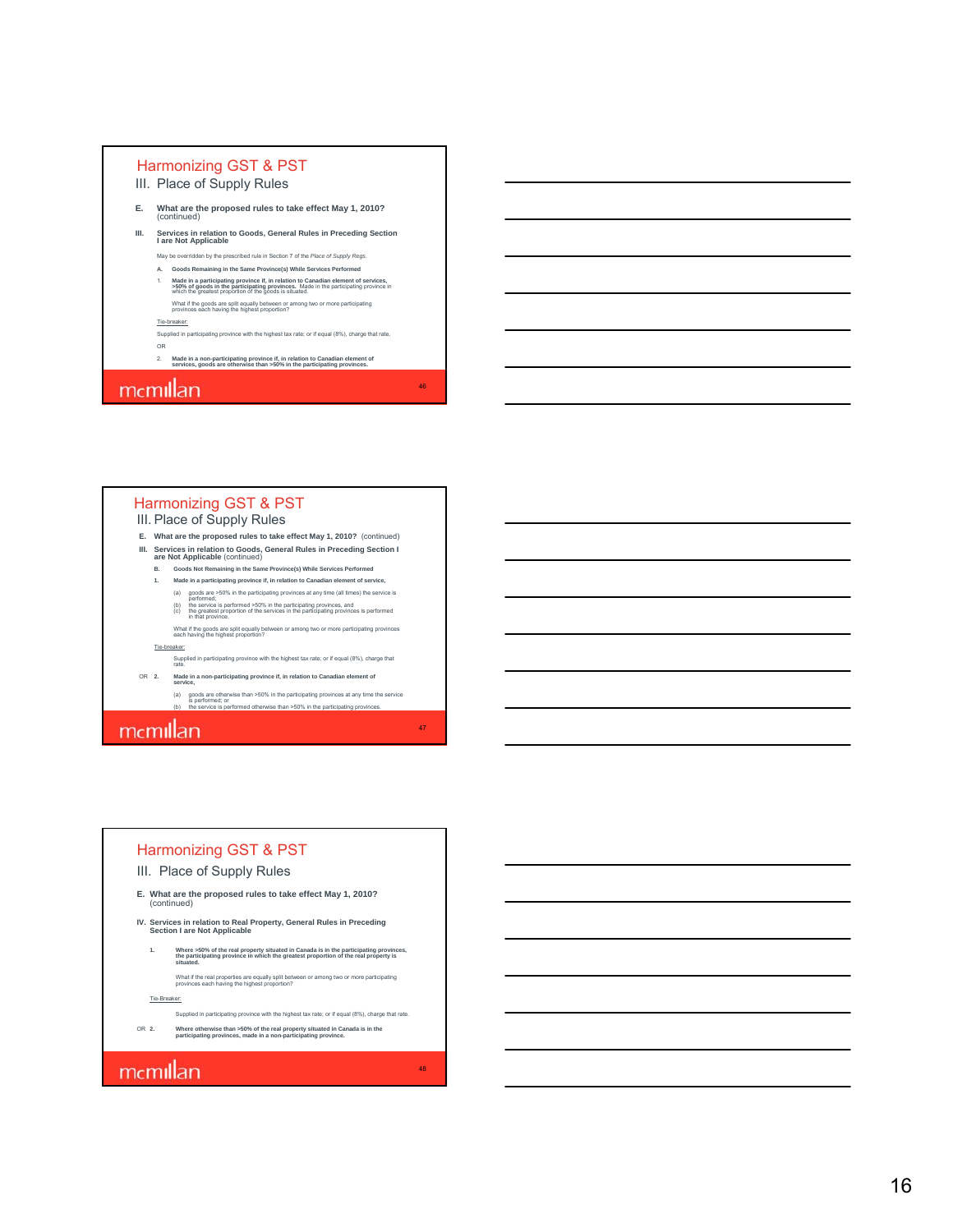- III. Place of Supply Rules
- **E. What are the proposed rules to take effect May 1, 2010?**  (continued)
- **III. Services in relation to Goods, General Rules in Preceding Section I are Not Applicable**
	- May be overridden by the prescribed rule in Section 7 of the *Place of Supply Regs*. **A. Goods Remaining in the Same Province(s) While Services Performed**
	- 1. Made in a participating province if, in relation to Canadian element of services,<br>>50% of goods in the participating provinces. Made in the participating province in<br>which the greatest proportion of the goods is situate What if the goods are split equally between or among two or more participating provinces each having the highest proportion?

#### Tie-breaker:

Supplied in participating province with the highest tax rate; or if equal (8%), charge that rate. OR

46

47

48

2. **Made in a non-participating province if, in relation to Canadian element of services, goods are otherwise than >50% in the participating provinces.**

### mcmillan

#### Harmonizing GST & PST

- III. Place of Supply Rules
- **E. What are the proposed rules to take effect May 1, 2010?** (continued)
- **III. Services in relation to Goods, General Rules in Preceding Section I**<br>are Not Applicable (continued)<br>B. Goods Not Remaining in the Same Province(s) While Services Performed
	-
	- **1. Made in a participating province if, in relation to Canadian element of service,**
		- (a) goods are >50% in the participating provinces at any time (all times) the service is<br>performed; (b) the service is performed >50% in the participating provinces, and<br>(c) the greatest proportion of the services in the p
		- What if the goods are split equally between or among two or more participating provinces each having the highest proportion?

#### Tie-breaker:

- Supplied in participating province with the highest tax rate; or if equal (8%), charge that rate.
- OR **2. Made in a non-participating province if, in relation to Canadian element of service,**
	- (a) goods are otherwise than >50% in the participating provinces at any time the service<br>is performed; or<br>(b) the service is performed otherwise than >50% in the participating provinces.

### mcmillan

#### Harmonizing GST & PST

#### III. Place of Supply Rules

- **E. What are the proposed rules to take effect May 1, 2010?**  (continued)
- **IV. Services in relation to Real Property, General Rules in Preceding Section I are Not Applicable**
	- **1. Where >50% of the real property situated in Canada is in the participating provinces, the participating province in which the greatest proportion of the real property is situated.**
		- What if the real properties are equally split between or among two or more participating provinces each having the highest proportion?
- Tie-Breaker:
	- Supplied in participating province with the highest tax rate; or if equal (8%), charge that rate.
- OR **2. Where otherwise than >50% of the real property situated in Canada is in the participating provinces, made in a non-participating province.**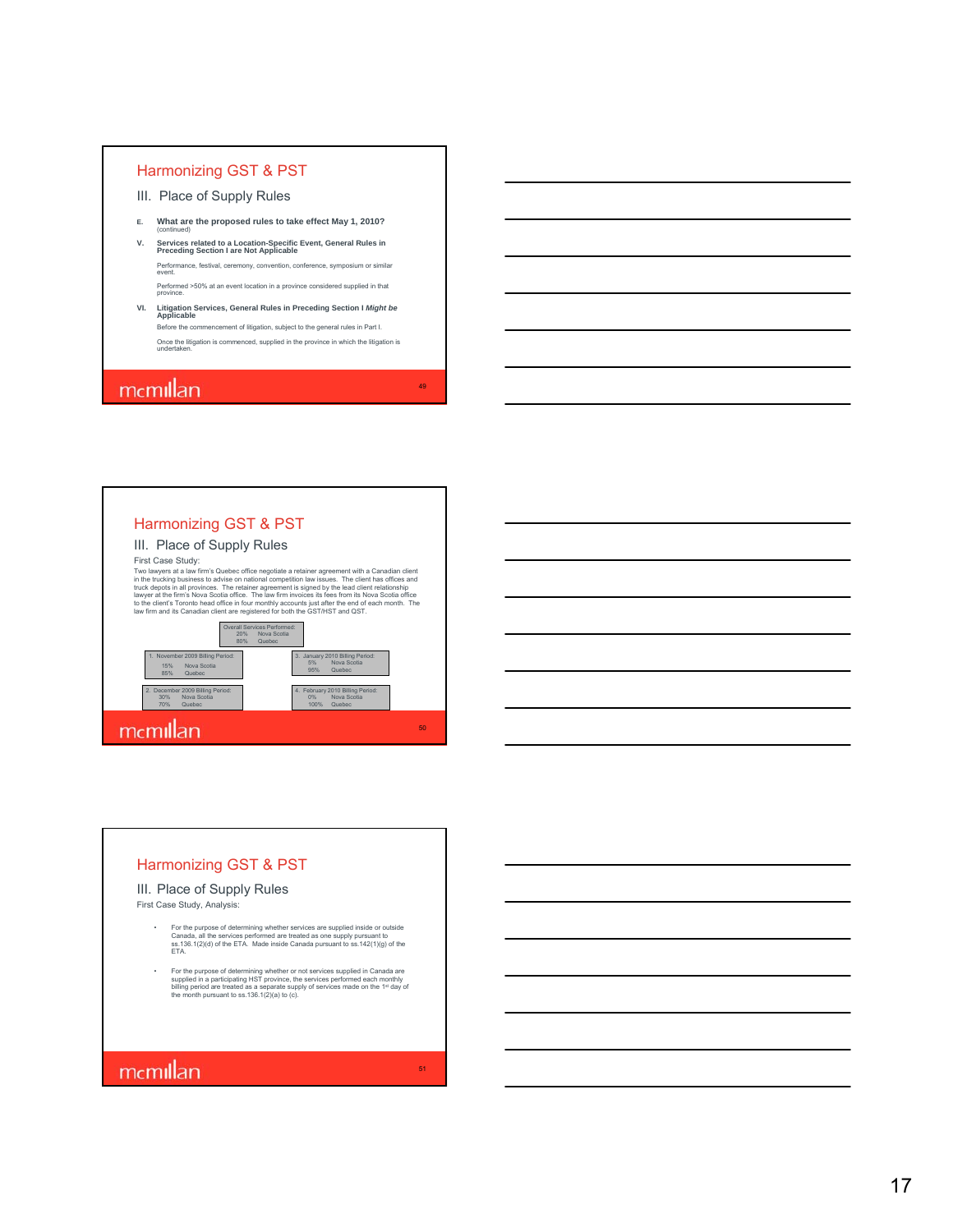- III. Place of Supply Rules
- **E. What are the proposed rules to take effect May 1, 2010?**  (continued)
- **V. Services related to a Location-Specific Event, General Rules in Preceding Section I are Not Applicable** Performance, festival, ceremony, convention, conference, symposium or similar event. Performed >50% at an event location in a province considered supplied in that province.
- **VI. Litigation Services, General Rules in Preceding Section I** *Might be* **Applicable** Before the commencement of litigation, subject to the general rules in Part I. Once the litigation is commenced, supplied in the province in which the litigation is undertaken.

49

51

### mcmillan



#### Harmonizing GST & PST

#### III. Place of Supply Rules

First Case Study, Analysis:

- For the purpose of determining whether services are supplied inside or outside<br>Canada, all the services performed are treated as one supply pursuant to<br>ss. 315.1(2)(d) of the ETA. Made inside Canada pursuant to ss.142(1)(g
- For the purpose of determining whether or not services supplied in Canada are supplied in a participating HST province, the services performed each monthly billing period are treated as a separate supply of services mad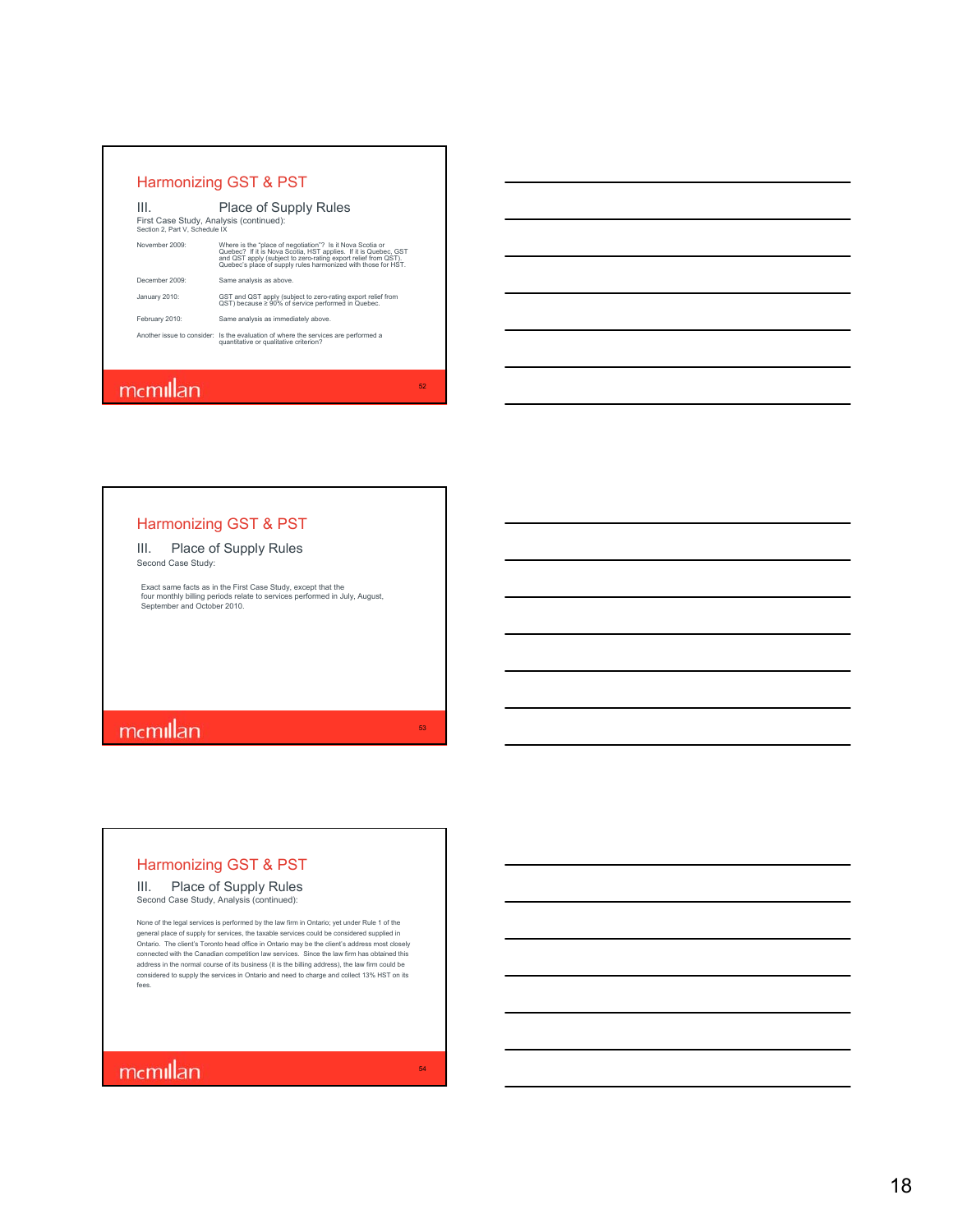| Ш.<br>First Case Study, Analysis (continued):<br>Section 2. Part V. Schedule IX | <b>Place of Supply Rules</b>                                                                                                                                                                                                                                    |
|---------------------------------------------------------------------------------|-----------------------------------------------------------------------------------------------------------------------------------------------------------------------------------------------------------------------------------------------------------------|
| November 2009:                                                                  | Where is the "place of negotiation"? Is it Nova Scotia or<br>Quebec? If it is Nova Scotia, HST applies. If it is Quebec, GST<br>and QST apply (subject to zero-rating export relief from QST).<br>Quebec's place of supply rules harmonized with those for HST. |
| December 2009:                                                                  | Same analysis as above.                                                                                                                                                                                                                                         |
| January 2010:                                                                   | GST and QST apply (subject to zero-rating export relief from<br>QST) because ≥ 90% of service performed in Quebec.                                                                                                                                              |
| February 2010:                                                                  | Same analysis as immediately above.                                                                                                                                                                                                                             |
|                                                                                 | Another issue to consider: Is the evaluation of where the services are performed a<br>quantitative or qualitative criterion?                                                                                                                                    |

### mcmillan

### Harmonizing GST & PST

III. Place of Supply Rules Second Case Study:

Exact same facts as in the First Case Study, except that the four monthly billing periods relate to services performed in July, August, September and October 2010.

# memillan

### Harmonizing GST & PST

#### III. Place of Supply Rules Second Case Study, Analysis (continued):

None of the legal services is performed by the law firm in Ontario; yet under Rule 1 of the general place of supply for services, the taxable services could be considered supplied in Ontario. The client's Toronto head office in Ontario may be the client's address most closely<br>connected with the Canadian competition law services. Since the law firm has obtained this<br>address in the normal course of its b fees.

# memillan

52

53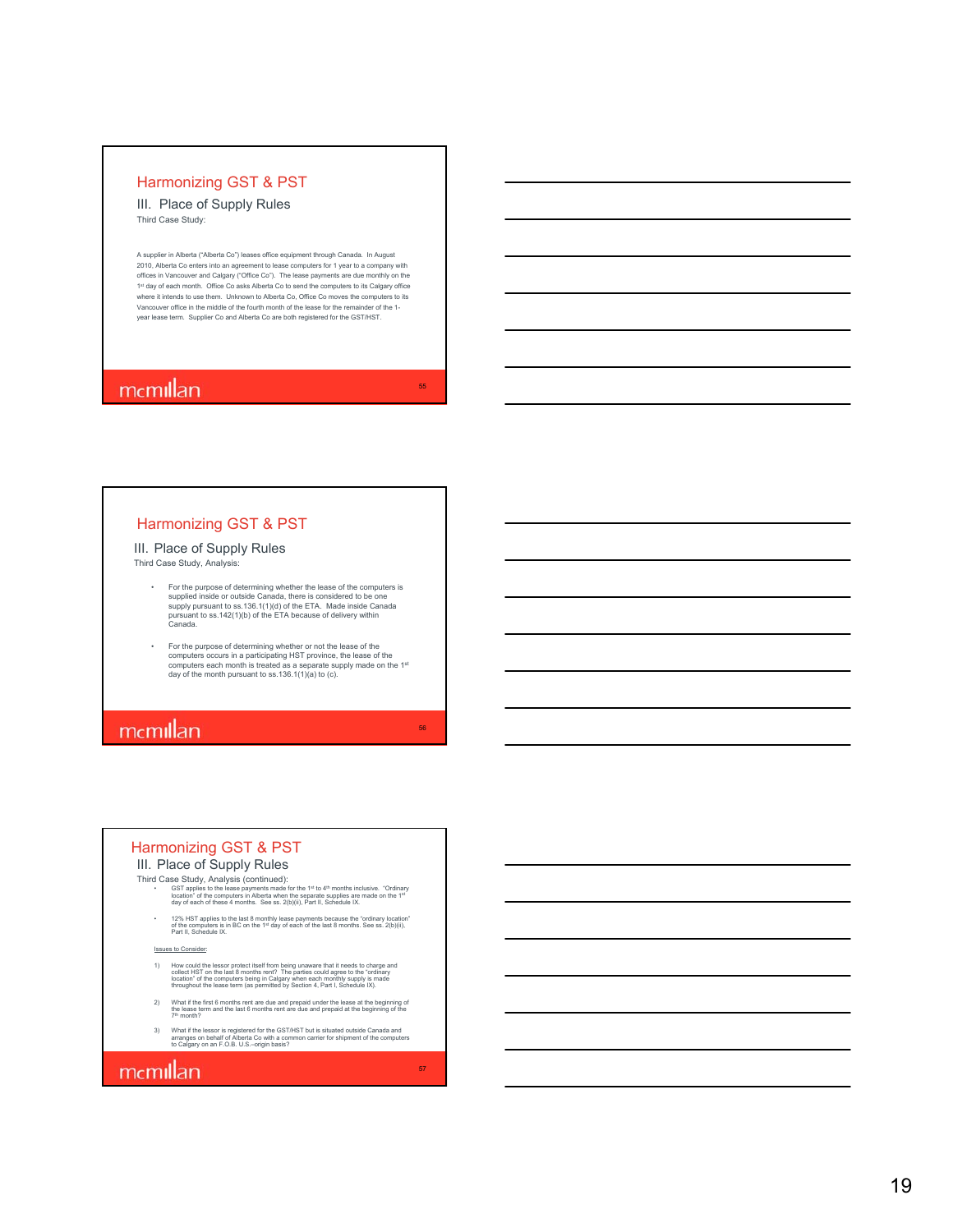III. Place of Supply Rules Third Case Study:

A supplier in Alberta ("Alberta Co") leases office equipment through Canada. In August 2010, Alberta Co enters into an agreement to lease computers for 1 year to a company with offices in Vancouver and Calgary ("Office Co"). The lease payments are due monthly on the 1st day of each month. Office Co asks Alberta Co to send the computers to its Calgary office<br>where it intends to use them. Unknown to Alberta Co, Office Co moves the computers to its Vancouver office in the middle of the fourth month of the lease for the remainder of the 1 year lease term. Supplier Co and Alberta Co are both registered for the GST/HST.

55

56

57

### mcmillan

#### Harmonizing GST & PST

#### III. Place of Supply Rules Third Case Study, Analysis:

- For the purpose of determining whether the lease of the computers is<br>supplied inside or outside Canada, there is considered to be one<br>supply pursuant to ss.136.1(1)(d) of the ETA. Made inside Canada<br>pursuant to ss.142(1)(b
- For the purpose of determining whether or not the lease of the computers occurs in a participating HST province, the lease of the computers each month is treated as a separate supply made on the 1st day of the month pursu

### mcmillan

#### Harmonizing GST & PST

#### III. Place of Supply Rules Third Case Study, Analysis (continued):

- GST applies to the lease payments made for the 1<sup>st</sup> to 4<sup>th</sup> months inclusive. *"Or*dinary<br>location" of the computers in Alberta when the separate supplies are made on the 1¤<br>day of each of these 4 months. See ss. 2(b)
- 12% HST applies to the last 8 monthly lease payments because the "ordinary location" of the computers is in BC on the 1st day of each of the last 8 months. See ss. 2(b)(ii), Part II, Schedule IX.

es to Consider:

- H) How could the lessor protect itself from being unaware that it needs to charge and<br>collect HST on the last 8 months rent? The parties could agree to the "ordinary<br>location" of the computers being in Calgary when each mo
- 2) What if the first 6 months rent are due and prepaid under the lease at the beginning of<br>the lease term and the last 6 months rent are due and prepaid at the beginning of the<br> $7^{\text{th}}$  month?
- 3) What if the lessor is registered for the GST/HST but is situated outside Canada and arranges on behalf of Alberta Co with a common carrier for shipment of the computers to Calgary on an F.O.B. U.S.–origin basis?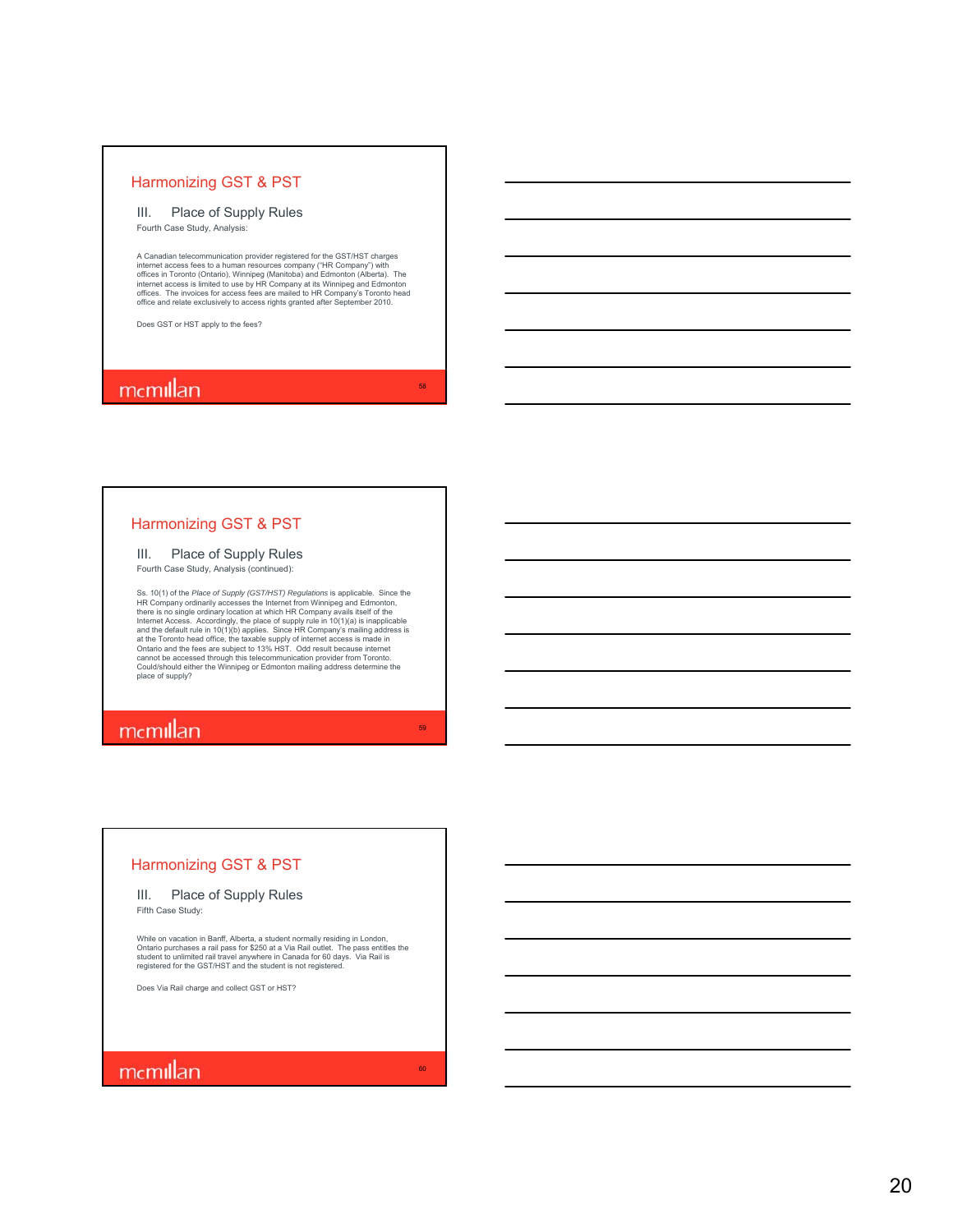#### III. Place of Supply Rules Fourth Case Study, Analysis:

A Canadian telecommunication provider registered for the GST/HST charges internet access fees to a human resources company ("HR Company") with<br>offices in Toronto (Ontario), Winnipeg (Manitoba) and Edmonton (Alberta). The<br>internet access is limited to use by HR Company at its Winnipeg and Edmont

58

59

60

Does GST or HST apply to the fees?

### mcmillan

#### Harmonizing GST & PST

#### III. Place of Supply Rules

Fourth Case Study, Analysis (continued):

Ss. (10(1) of the *Place of Supply* (GST/HST) Regulations is applicable. Since the SHC Company ordinarily accesses the Internet from Winnipeg and Edmonton, there is no single ordinary location at which HR Company avails it place of supply?

# mcmillan

#### Harmonizing GST & PST

### III. Place of Supply Rules

Fifth Case Study:

While on vacation in Banff, Alberta, a student normally residing in London,<br>Ontario purchases a rail pass for \$250 at a Via Rail outlet. The pass entitles the<br>student to unlimited rail travel anywhere in Canada for 60 days

Does Via Rail charge and collect GST or HST?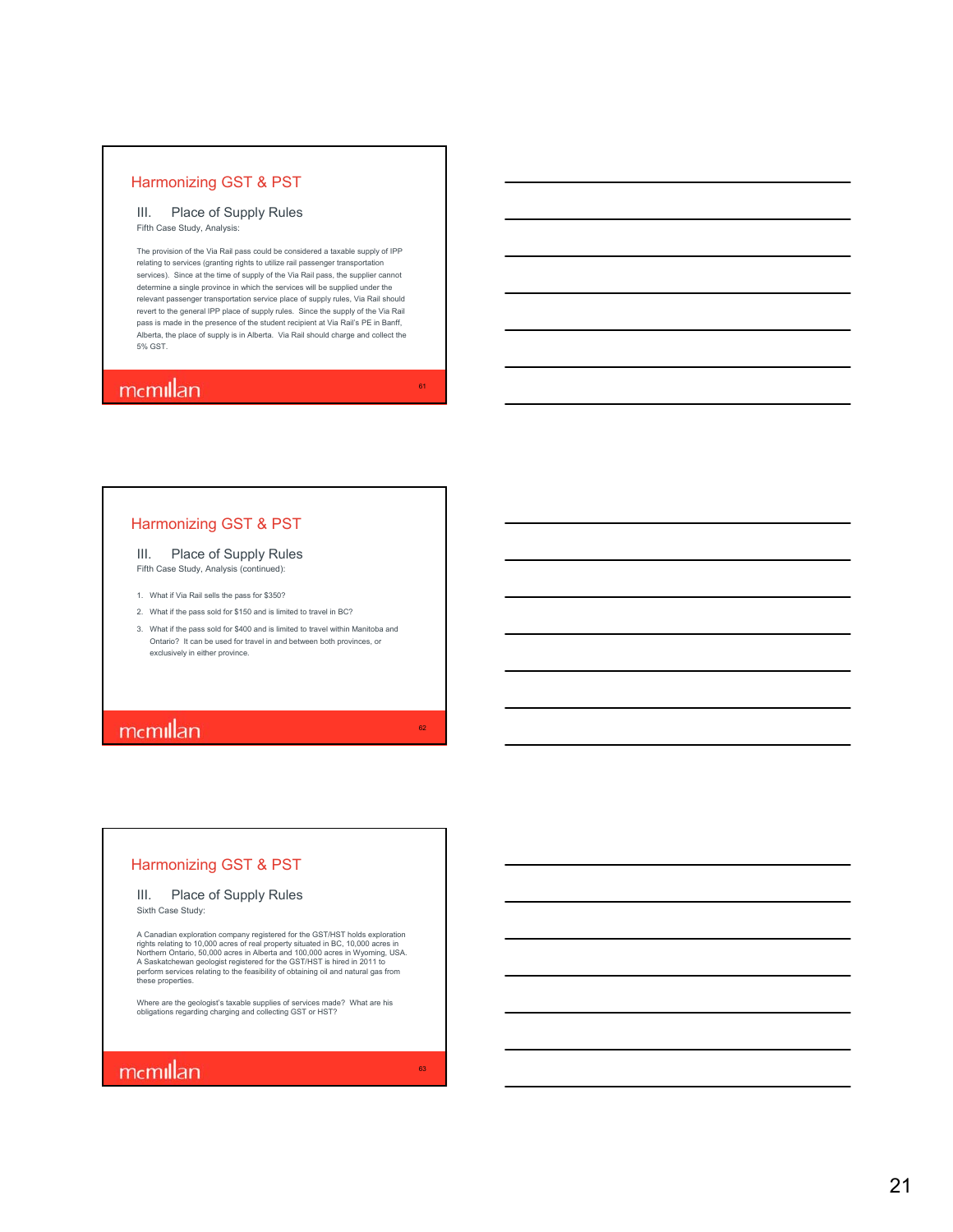#### III. Place of Supply Rules Fifth Case Study, Analysis:

The provision of the Via Rail pass could be considered a taxable supply of IPP relating to services (granting rights to utilize rail passenger transportation services). Since at the time of supply of the Via Rail pass, the supplier cannot determine a single province in which the services will be supplied under the relevant passenger transportation service place of supply rules, Via Rail should revert to the general IPP place of supply rules. Since the supply of the Via Rail pass is made in the presence of the student recipient at Via Rail's PE in Banff, Alberta, the place of supply is in Alberta. Via Rail should charge and collect the 5% GST.

61

62

63

### mcmillan

#### Harmonizing GST & PST

III. Place of Supply Rules Fifth Case Study, Analysis (continued):

1. What if Via Rail sells the pass for \$350?

2. What if the pass sold for \$150 and is limited to travel in BC?

3. What if the pass sold for \$400 and is limited to travel within Manitoba and Ontario? It can be used for travel in and between both provinces, or exclusively in either province.

### mcmillan

#### Harmonizing GST & PST

#### III. Place of Supply Rules Sixth Case Study:

A Canadian exploration company registered for the GST/HST holds exploration rights relating to 10,000 acres of real property situated in BC, 10,000 acres in<br>Northern Ontario, 50,000 acres in Alberta and 100,000 acres in Wyoming, USA.<br>A Saskatchewan geologist registered for the GST/HST is hired in

Where are the geologist's taxable supplies of services made? What are his obligations regarding charging and collecting GST or HST?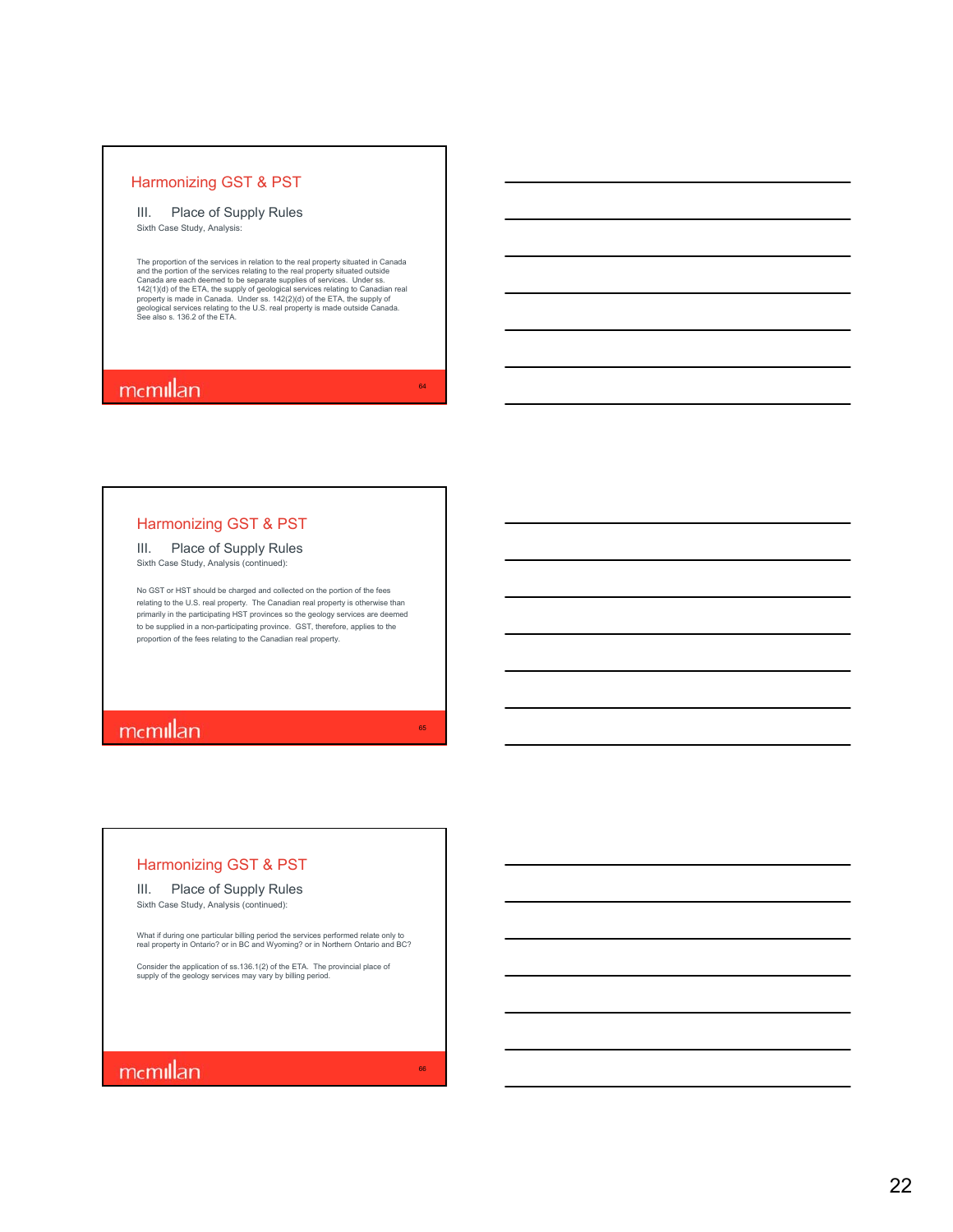#### III. Place of Supply Rules Sixth Case Study, Analysis:

The proportion of the services in relation to the real property situated out Canada<br>and the portion of the services relating to the real property situated outside<br>Canada are each deemed to be separate supplies of services.

64

65

66

### mcmillan

#### Harmonizing GST & PST

### III. Place of Supply Rules

Sixth Case Study, Analysis (continued):

No GST or HST should be charged and collected on the portion of the fees relating to the U.S. real property. The Canadian real property is otherwise than primarily in the participating HST provinces so the geology services are deemed to be supplied in a non-participating province. GST, therefore, applies to the proportion of the fees relating to the Canadian real property.

### mcmillan

#### Harmonizing GST & PST

#### III. Place of Supply Rules Sixth Case Study, Analysis (continued):

What if during one particular billing period the services performed relate only to real property in Ontario? or in BC and Wyoming? or in Northern Ontario and BC?

Consider the application of ss.136.1(2) of the ETA. The provincial place of supply of the geology services may vary by billing period.